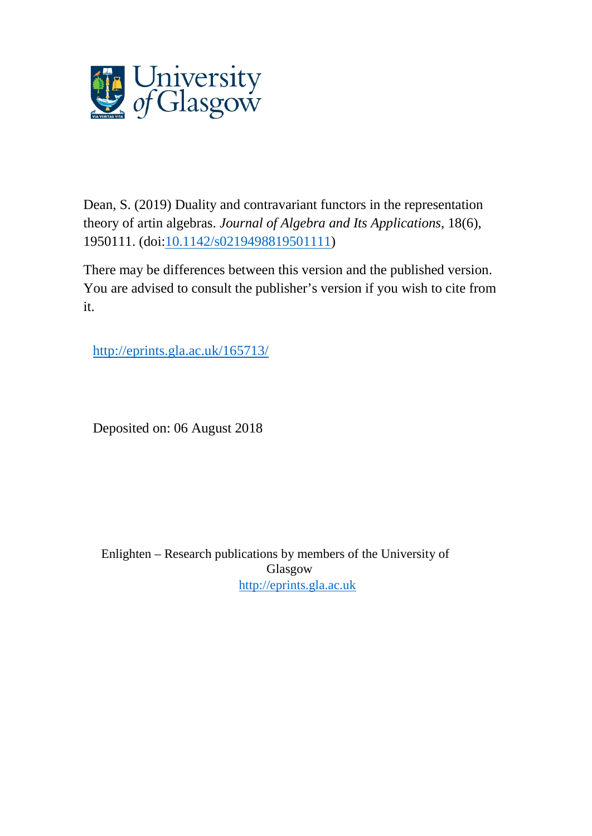

Dean, S. (2019) Duality and contravariant functors in the representation theory of artin algebras. *Journal of Algebra and Its Applications*, 18(6), 1950111. (doi[:10.1142/s0219498819501111\)](http://dx.doi.org/10.1142/s0219498819501111)

There may be differences between this version and the published version. You are advised to consult the publisher's version if you wish to cite from it.

http://eprints.gla.ac.uk/165713/

Deposited on: 06 August 2018

Enlighten – Research publications by members of the University of Glasgow [http://eprints.gla.ac.uk](http://eprints.gla.ac.uk/)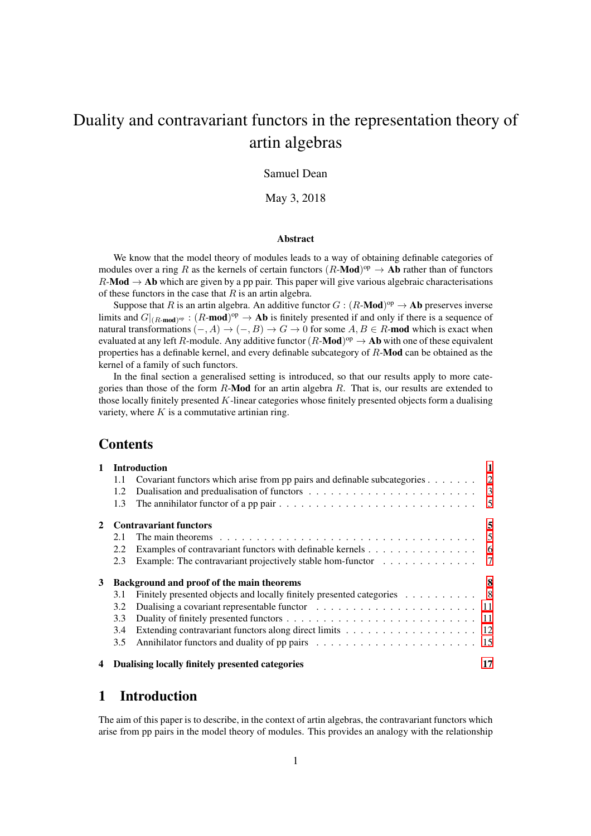# Duality and contravariant functors in the representation theory of artin algebras

Samuel Dean

May 3, 2018

#### Abstract

We know that the model theory of modules leads to a way of obtaining definable categories of modules over a ring R as the kernels of certain functors  $(R\text{-Mod})^{\text{op}} \to \text{Ab}$  rather than of functors  $R$ -Mod  $\rightarrow$  Ab which are given by a pp pair. This paper will give various algebraic characterisations of these functors in the case that  $R$  is an artin algebra.

Suppose that R is an artin algebra. An additive functor  $G : (R\text{-}\mathbf{Mod})^{\text{op}} \to \mathbf{Ab}$  preserves inverse limits and  $G|_{(R\text{-mod})^{\text{op}}} : (R\text{-mod})^{\text{op}} \to \text{Ab}$  is finitely presented if and only if there is a sequence of natural transformations  $(-, A) \rightarrow (-, B) \rightarrow G \rightarrow 0$  for some  $A, B \in R$ -mod which is exact when evaluated at any left R-module. Any additive functor  $(R\text{-}\mathbf{Mod})^{\text{op}} \to \mathbf{Ab}$  with one of these equivalent properties has a definable kernel, and every definable subcategory of  $R$ -Mod can be obtained as the kernel of a family of such functors.

In the final section a generalised setting is introduced, so that our results apply to more categories than those of the form  $R$ -Mod for an artin algebra  $R$ . That is, our results are extended to those locally finitely presented  $K$ -linear categories whose finitely presented objects form a dualising variety, where  $K$  is a commutative artinian ring.

## Contents

|   | 1 Introduction                            |                                                                                |    |
|---|-------------------------------------------|--------------------------------------------------------------------------------|----|
|   |                                           | 1.1 Covariant functors which arise from pp pairs and definable subcategories 2 |    |
|   | 1.2                                       |                                                                                |    |
|   | 1.3                                       |                                                                                |    |
| 2 | <b>Contravariant functors</b>             |                                                                                |    |
|   | 2.1                                       |                                                                                |    |
|   | 2.2                                       |                                                                                |    |
|   | 2.3                                       | Example: The contravariant projectively stable hom-functor 7                   |    |
| 3 | Background and proof of the main theorems |                                                                                |    |
|   | 3.1                                       | Finitely presented objects and locally finitely presented categories 8         |    |
|   | 3.2                                       |                                                                                |    |
|   | 3.3                                       |                                                                                |    |
|   | 3.4                                       |                                                                                |    |
|   | $3.5^{\circ}$                             |                                                                                |    |
|   |                                           | 4 Dualising locally finitely presented categories                              | 17 |

# <span id="page-1-0"></span>1 Introduction

The aim of this paper is to describe, in the context of artin algebras, the contravariant functors which arise from pp pairs in the model theory of modules. This provides an analogy with the relationship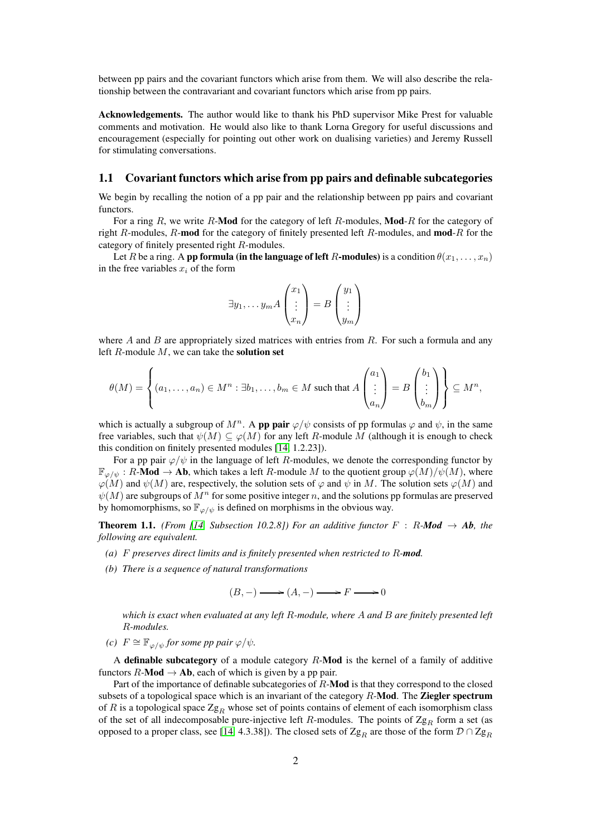between pp pairs and the covariant functors which arise from them. We will also describe the relationship between the contravariant and covariant functors which arise from pp pairs.

Acknowledgements. The author would like to thank his PhD supervisor Mike Prest for valuable comments and motivation. He would also like to thank Lorna Gregory for useful discussions and encouragement (especially for pointing out other work on dualising varieties) and Jeremy Russell for stimulating conversations.

#### <span id="page-2-0"></span>1.1 Covariant functors which arise from pp pairs and definable subcategories

We begin by recalling the notion of a pp pair and the relationship between pp pairs and covariant functors.

For a ring  $R$ , we write  $R$ -**Mod** for the category of left  $R$ -modules, **Mod**- $R$  for the category of right R-modules, R-mod for the category of finitely presented left R-modules, and  $\text{mod-}R$  for the category of finitely presented right R-modules.

Let R be a ring. A pp formula (in the language of left R-modules) is a condition  $\theta(x_1, \ldots, x_n)$ in the free variables  $x_i$  of the form

$$
\exists y_1, \dots y_m A \begin{pmatrix} x_1 \\ \vdots \\ x_n \end{pmatrix} = B \begin{pmatrix} y_1 \\ \vdots \\ y_m \end{pmatrix}
$$

where  $A$  and  $B$  are appropriately sized matrices with entries from  $R$ . For such a formula and any left  $R$ -module  $M$ , we can take the solution set

$$
\theta(M) = \left\{ (a_1, \ldots, a_n) \in M^n : \exists b_1, \ldots, b_m \in M \text{ such that } A \begin{pmatrix} a_1 \\ \vdots \\ a_n \end{pmatrix} = B \begin{pmatrix} b_1 \\ \vdots \\ b_m \end{pmatrix} \right\} \subseteq M^n,
$$

which is actually a subgroup of  $M^n$ . A pp pair  $\varphi/\psi$  consists of pp formulas  $\varphi$  and  $\psi$ , in the same free variables, such that  $\psi(M) \subseteq \varphi(M)$  for any left R-module M (although it is enough to check this condition on finitely presented modules [\[14,](#page-20-0) 1.2.23]).

For a pp pair  $\varphi/\psi$  in the language of left R-modules, we denote the corresponding functor by  $\mathbb{F}_{\varphi/\psi}: R\text{-Mod} \to \text{Ab}$ , which takes a left R-module M to the quotient group  $\varphi(M)/\psi(M)$ , where  $\varphi(M)$  and  $\psi(M)$  are, respectively, the solution sets of  $\varphi$  and  $\psi$  in M. The solution sets  $\varphi(M)$  and  $\psi(M)$  are subgroups of  $M^n$  for some positive integer n, and the solutions pp formulas are preserved by homomorphisms, so  $\mathbb{F}_{\varphi/\psi}$  is defined on morphisms in the obvious way.

<span id="page-2-1"></span>**Theorem 1.1.** *(From [\[14,](#page-20-0) Subsection 10.2.8]) For an additive functor*  $F : R$ -*Mod*  $\rightarrow$  *Ab, the following are equivalent.*

- *(a)* F *preserves direct limits and is finitely presented when restricted to* R*-mod.*
- *(b) There is a sequence of natural transformations*

 $(B, -) \longrightarrow (A, -) \longrightarrow F \longrightarrow 0$ 

*which is exact when evaluated at any left* R*-module, where* A *and* B *are finitely presented left* R*-modules.*

*(c)*  $F \cong \mathbb{F}_{\varphi/\psi}$  *for some pp pair*  $\varphi/\psi$ *.* 

A definable subcategory of a module category  $R$ -Mod is the kernel of a family of additive functors  $R\text{-}\text{Mod} \rightarrow \text{Ab}$ , each of which is given by a pp pair.

Part of the importance of definable subcategories of R-Mod is that they correspond to the closed subsets of a topological space which is an invariant of the category  $R\text{-Mod}$ . The Ziegler spectrum of R is a topological space  $Zg_R$  whose set of points contains of element of each isomorphism class of the set of all indecomposable pure-injective left  $R$ -modules. The points of  $Zg_R$  form a set (as opposed to a proper class, see [\[14,](#page-20-0) 4.3.38]). The closed sets of  $Zg_R$  are those of the form  $D \cap Zg_R$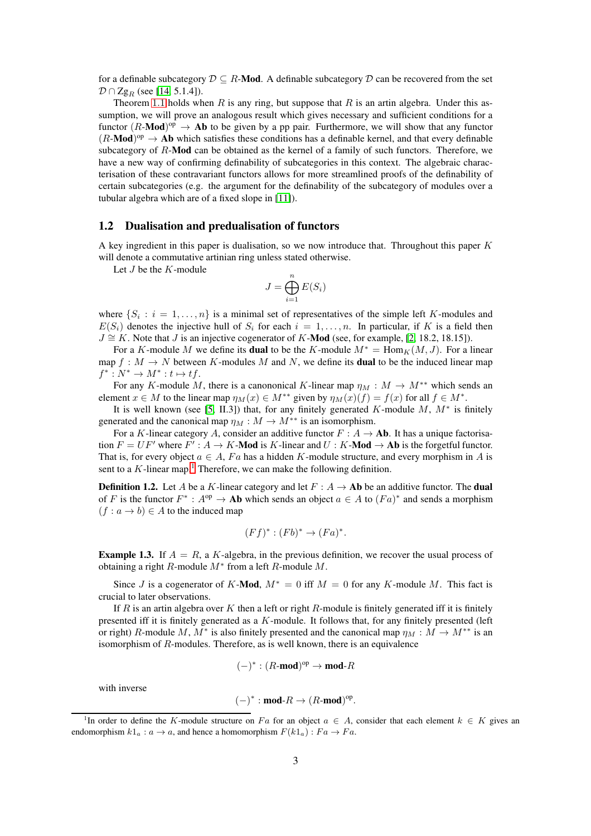for a definable subcategory  $D \subseteq R$ -**Mod**. A definable subcategory D can be recovered from the set  $\mathcal{D} \cap \mathrm{Zg}_{R}$  (see [\[14,](#page-20-0) 5.1.4]).

Theorem [1](#page-2-1).1 holds when R is any ring, but suppose that R is an artin algebra. Under this assumption, we will prove an analogous result which gives necessary and sufficient conditions for a functor  $(R\text{-Mod})^{\text{op}} \to \text{Ab}$  to be given by a pp pair. Furthermore, we will show that any functor  $(R\text{-Mod})^{\text{op}} \to \text{Ab}$  which satisfies these conditions has a definable kernel, and that every definable subcategory of R-**Mod** can be obtained as the kernel of a family of such functors. Therefore, we have a new way of confirming definability of subcategories in this context. The algebraic characterisation of these contravariant functors allows for more streamlined proofs of the definability of certain subcategories (e.g. the argument for the definability of the subcategory of modules over a tubular algebra which are of a fixed slope in [\[11\]](#page-20-1)).

#### <span id="page-3-0"></span>1.2 Dualisation and predualisation of functors

A key ingredient in this paper is dualisation, so we now introduce that. Throughout this paper  $K$ will denote a commutative artinian ring unless stated otherwise.

Let  $J$  be the  $K$ -module

$$
J = \bigoplus_{i=1}^{n} E(S_i)
$$

where  $\{S_i : i = 1, \ldots, n\}$  is a minimal set of representatives of the simple left K-modules and  $E(S_i)$  denotes the injective hull of  $S_i$  for each  $i = 1, \ldots, n$ . In particular, if K is a field then  $J \cong K$ . Note that J is an injective cogenerator of K-**Mod** (see, for example, [\[2,](#page-20-2) 18.2, 18.15]).

For a K-module M we define its **dual** to be the K-module  $M^* = \text{Hom}_K(M, J)$ . For a linear map  $f : M \to N$  between K-modules M and N, we define its **dual** to be the induced linear map  $f^*: N^* \to M^* : t \mapsto tf.$ 

For any K-module M, there is a canononical K-linear map  $\eta_M : M \to M^{**}$  which sends an element  $x \in M$  to the linear map  $\eta_M(x) \in M^{**}$  given by  $\eta_M(x)(f) = f(x)$  for all  $f \in M^*$ .

It is well known (see [\[5,](#page-20-3) II.3]) that, for any finitely generated  $K$ -module  $M$ ,  $M^*$  is finitely generated and the canonical map  $\eta_M : M \to M^{**}$  is an isomorphism.

For a K-linear category A, consider an additive functor  $F : A \to Ab$ . It has a unique factorisation  $F = UF'$  where  $F' : A \to K$ -**Mod** is K-linear and  $U : K$ -**Mod**  $\to$  **Ab** is the forgetful functor. That is, for every object  $a \in A$ , Fa has a hidden K-module structure, and every morphism in A is sent to a  $K$ -linear map.<sup>[1](#page-3-1)</sup> Therefore, we can make the following definition.

**Definition 1.2.** Let A be a K-linear category and let  $F : A \rightarrow Ab$  be an additive functor. The **dual** of F is the functor  $F^* : A^{\text{op}} \to \text{Ab}$  which sends an object  $a \in A$  to  $(Fa)^*$  and sends a morphism  $(f : a \rightarrow b) \in A$  to the induced map

$$
(Ff)^* : (Fb)^* \to (Fa)^*.
$$

**Example 1.3.** If  $A = R$ , a K-algebra, in the previous definition, we recover the usual process of obtaining a right  $R$ -module  $M^*$  from a left  $R$ -module  $M$ .

Since J is a cogenerator of K-Mod,  $M^* = 0$  iff  $M = 0$  for any K-module M. This fact is crucial to later observations.

If R is an artin algebra over K then a left or right R-module is finitely generated iff it is finitely presented iff it is finitely generated as a K-module. It follows that, for any finitely presented (left or right) R-module M,  $M^*$  is also finitely presented and the canonical map  $\eta_M : M \to M^{**}$  is an isomorphism of R-modules. Therefore, as is well known, there is an equivalence

$$
(-)^{*}:(R\text{-}\mathbf{mod})^{\mathrm{op}}\to \mathbf{mod}\text{-}R
$$

with inverse

$$
(-)^{*} : \textbf{mod-}R \to (R\textbf{-mod})^{\text{op}}.
$$

<span id="page-3-1"></span><sup>&</sup>lt;sup>1</sup>In order to define the K-module structure on Fa for an object  $a \in A$ , consider that each element  $k \in K$  gives an endomorphism  $k1_a : a \rightarrow a$ , and hence a homomorphism  $F(k1_a) : Fa \rightarrow Fa$ .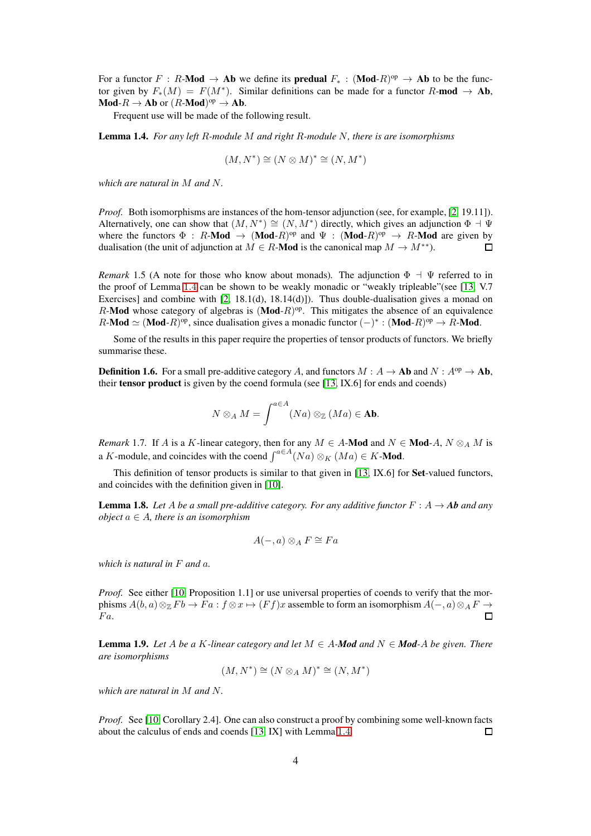For a functor  $F : R$ -**Mod**  $\rightarrow$  **Ab** we define its **predual**  $F_* : (\text{Mod-}R)^{op} \rightarrow$  **Ab** to be the functor given by  $F_*(M) = F(M^*)$ . Similar definitions can be made for a functor  $R$ -mod  $\rightarrow$  Ab, **Mod-** $R \to$  **Ab** or  $(R$ **-Mod**)<sup>op</sup>  $\to$  **Ab**.

Frequent use will be made of the following result.

<span id="page-4-0"></span>Lemma 1.4. *For any left* R*-module* M *and right* R*-module* N*, there is are isomorphisms*

$$
(M, N^*) \cong (N \otimes M)^* \cong (N, M^*)
$$

*which are natural in* M *and* N*.*

*Proof.* Both isomorphisms are instances of the hom-tensor adjunction (see, for example, [\[2,](#page-20-2) 19.11]). Alternatively, one can show that  $(M, N^*) \cong (N, M^*)$  directly, which gives an adjunction  $\Phi \dashv \Psi$ where the functors  $\Phi : R\text{-Mod} \to (\text{Mod-}R)^{op}$  and  $\Psi : (\text{Mod-}R)^{op} \to R\text{-Mod}$  are given by dualisation (the unit of adjunction at  $M \in R$ -**Mod** is the canonical map  $M \to M^{**}$ ).  $\Box$ 

<span id="page-4-2"></span>*Remark* 1.5 (A note for those who know about monads). The adjunction  $\Phi \dashv \Psi$  referred to in the proof of Lemma [1](#page-4-0).4 can be shown to be weakly monadic or "weakly tripleable"(see [\[13,](#page-20-4) V.7 Exercises] and combine with  $[2, 18.1(d), 18.14(d)]$ . Thus double-dualisation gives a monad on R-Mod whose category of algebras is  $(Mod-R)^{op}$ . This mitigates the absence of an equivalence  $R$ -Mod  $\simeq$  (Mod- $R$ )<sup>op</sup>, since dualisation gives a monadic functor  $(-)^* : (Mod-R)^{op} \to R$ -Mod.

Some of the results in this paper require the properties of tensor products of functors. We briefly summarise these.

**Definition 1.6.** For a small pre-additive category A, and functors  $M : A \to Ab$  and  $N : A^{op} \to Ab$ , their **tensor product** is given by the coend formula (see  $[13, IX.6]$  $[13, IX.6]$  for ends and coends)

$$
N\otimes_A M=\int^{a\in A}(Na)\otimes_{\mathbb{Z}}(Ma)\in\mathbf{Ab}.
$$

*Remark* 1.7*.* If A is a K-linear category, then for any  $M \in A$ -**Mod** and  $N \in \text{Mod-}A$ ,  $N \otimes_A M$  is a K-module, and coincides with the coend  $\int^{a \in A} (Na) \otimes_K (Ma) \in K$ -**Mod**.

This definition of tensor products is similar to that given in [\[13,](#page-20-4) IX.6] for **Set**-valued functors, and coincides with the definition given in [\[10\]](#page-20-5).

<span id="page-4-1"></span>**Lemma 1.8.** Let A be a small pre-additive category. For any additive functor  $F : A \rightarrow Ab$  and any *object*  $a \in A$ *, there is an isomorphism* 

$$
A(-,a)\otimes_A F\cong Fa
$$

*which is natural in* F *and* a*.*

*Proof.* See either [\[10,](#page-20-5) Proposition 1.1] or use universal properties of coends to verify that the morphisms  $A(b, a) \otimes_{\mathbb{Z}} F b \to Fa : f \otimes x \mapsto (F f)x$  assemble to form an isomorphism  $A(-, a) \otimes_A F \to$  $Fa$ .  $\Box$ 

<span id="page-4-3"></span>**Lemma 1.9.** Let A be a K-linear category and let  $M \in A$ -*Mod* and  $N \in$  **Mod**-A be given. There *are isomorphisms*

$$
(M, N^*) \cong (N \otimes_A M)^* \cong (N, M^*)
$$

*which are natural in* M *and* N*.*

*Proof.* See [\[10,](#page-20-5) Corollary 2.4]. One can also construct a proof by combining some well-known facts about the calculus of ends and coends [\[13,](#page-20-4) IX] with Lemma [1](#page-4-0).4.  $\Box$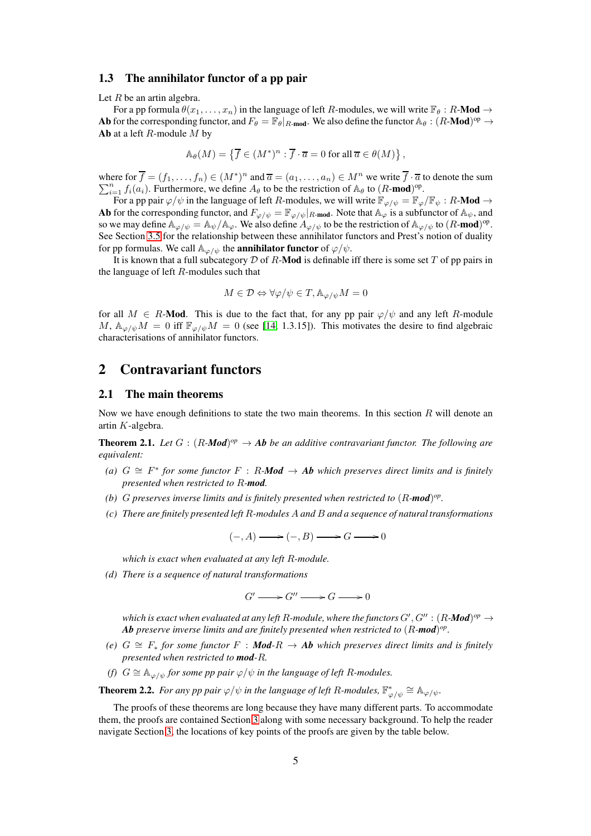### <span id="page-5-0"></span>1.3 The annihilator functor of a pp pair

Let  $R$  be an artin algebra.

For a pp formula  $\theta(x_1, \ldots, x_n)$  in the language of left R-modules, we will write  $\mathbb{F}_{\theta}: R\text{-Mod} \to$ **Ab** for the corresponding functor, and  $F_{\theta} = \mathbb{F}_{\theta}|_{R\text{-mod}}$ . We also define the functor  $\mathbb{A}_{\theta}: (R\text{-Mod})^{\text{op}} \to$ Ab at a left  $R$ -module  $M$  by

$$
\mathbb{A}_{\theta}(M) = \{ \overline{f} \in (M^*)^n : \overline{f} \cdot \overline{a} = 0 \text{ for all } \overline{a} \in \theta(M) \},
$$

where for  $\overline{f}=(f_1,\ldots,f_n)\in (M^*)^n$  and  $\overline{a}=(a_1,\ldots,a_n)\in M^n$  we write  $\overline{f}\cdot\overline{a}$  to denote the sum  $\sum_{i=1}^{n} f_i(a_i)$ . Furthermore, we define  $A_{\theta}$  to be the restriction of  $\mathbb{A}_{\theta}$  to  $(R\text{-mod})^{\text{op}}$ .

For a pp pair  $\varphi/\psi$  in the language of left R-modules, we will write  $\mathbb{F}_{\varphi/\psi} = \mathbb{F}_{\varphi}/\mathbb{F}_{\psi} : R\text{-Mod} \to$ Ab for the corresponding functor, and  $F_{\varphi/\psi} = \mathbb{F}_{\varphi/\psi}|_{R\text{-mod}}$ . Note that  $\mathbb{A}_{\varphi}$  is a subfunctor of  $\mathbb{A}_{\psi}$ , and so we may define  $\mathbb{A}_{\varphi/\psi} = \mathbb{A}_{\psi}/\mathbb{A}_{\varphi}$ . We also define  $A_{\varphi/\psi}$  to be the restriction of  $\mathbb{A}_{\varphi/\psi}$  to  $(R\text{-mod})^{\text{op}}$ . See Section [3.5](#page-15-0) for the relationship between these annihilator functors and Prest's notion of duality for pp formulas. We call  $\mathbb{A}_{\varphi/\psi}$  the **annihilator functor** of  $\varphi/\psi$ .

It is known that a full subcategory  $D$  of R-**Mod** is definable iff there is some set  $T$  of pp pairs in the language of left  $R$ -modules such that

$$
M\in\mathcal{D}\Leftrightarrow\forall\varphi/\psi\in T,\mathbb{A}_{\varphi/\psi}M=0
$$

for all  $M \in R$ -**Mod**. This is due to the fact that, for any pp pair  $\varphi/\psi$  and any left R-module M,  $\Delta_{\varphi/\psi}M = 0$  iff  $\mathbb{F}_{\varphi/\psi}M = 0$  (see [\[14,](#page-20-0) 1.3.15]). This motivates the desire to find algebraic characterisations of annihilator functors.

## <span id="page-5-2"></span><span id="page-5-1"></span>2 Contravariant functors

#### 2.1 The main theorems

Now we have enough definitions to state the two main theorems. In this section  $R$  will denote an artin K-algebra.

<span id="page-5-4"></span>**Theorem 2.1.** Let  $G : (R \text{-} \textit{Mod})^{op} \to Ab$  be an additive contravariant functor. The following are *equivalent:*

- $(a)$   $G \cong F^*$  for some functor  $F : R$ -*Mod* → *Ab* which preserves direct limits and is finitely *presented when restricted to* R*-mod.*
- (b)  $G$  *preserves inverse limits and is finitely presented when restricted to*  $(R$ -*mod* $)^{op}$ .
- *(c) There are finitely presented left* R*-modules* A *and* B *and a sequence of natural transformations*

 $(-, A) \longrightarrow (-, B) \longrightarrow G \longrightarrow 0$ 

*which is exact when evaluated at any left* R*-module.*

*(d) There is a sequence of natural transformations*

 $G' \longrightarrow G'' \longrightarrow G \longrightarrow 0$ 

which is exact when evaluated at any left R-module, where the functors  $G',G'': (R\text{-}\textit{Mod})^{op} \to$ *Ab preserve inverse limits and are finitely presented when restricted to* (R*-mod*) *op .*

- *(e)*  $G \cong F_*$  *for some functor*  $F : \mathbf{Mod}\text{-}R \to \mathbf{Ab}$  *which preserves direct limits and is finitely presented when restricted to mod-*R*.*
- *(f)*  $G \cong \mathbb{A}_{\varphi/\psi}$  *for some pp pair*  $\varphi/\psi$  *in the language of left* R-modules.

<span id="page-5-3"></span>**Theorem 2.2.** For any pp pair  $\varphi/\psi$  in the language of left R-modules,  $\mathbb{F}_{\varphi/\psi}^* \cong \mathbb{A}_{\varphi/\psi}$ .

The proofs of these theorems are long because they have many different parts. To accommodate them, the proofs are contained Section [3](#page-8-0) along with some necessary background. To help the reader navigate Section [3,](#page-8-0) the locations of key points of the proofs are given by the table below.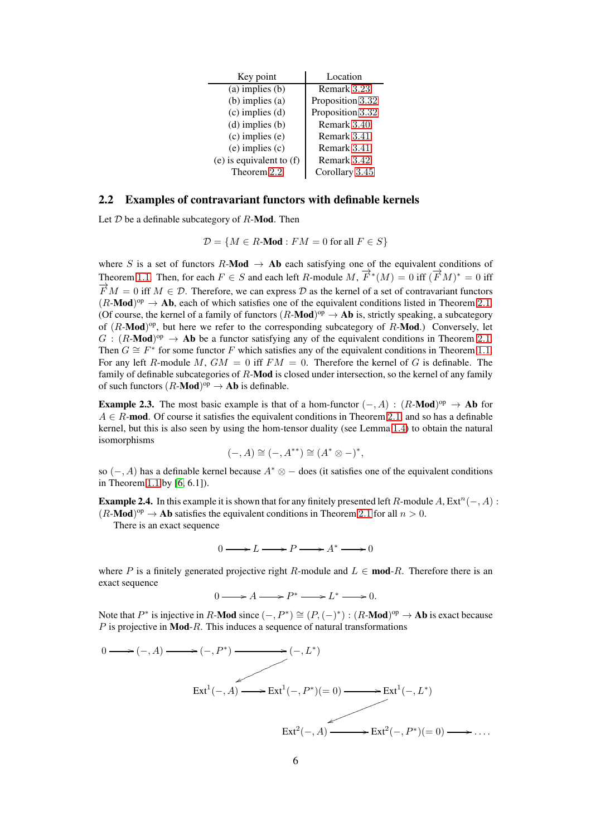| Key point                  | Location         |
|----------------------------|------------------|
| $(a)$ implies $(b)$        | Remark 3.23      |
| $(b)$ implies $(a)$        | Proposition 3.32 |
| $(c)$ implies $(d)$        | Proposition 3.32 |
| $(d)$ implies $(b)$        | Remark 3.40      |
| $(c)$ implies $(e)$        | Remark 3.41      |
| $(e)$ implies $(c)$        | Remark 3.41      |
| (e) is equivalent to $(f)$ | Remark 3.42      |
| Theorem 2.2                | Corollary 3.45   |

## <span id="page-6-0"></span>2.2 Examples of contravariant functors with definable kernels

Let  $D$  be a definable subcategory of  $R$ -Mod. Then

$$
\mathcal{D} = \{ M \in R \text{-Mod} : FM = 0 \text{ for all } F \in S \}
$$

where S is a set of functors  $R$ -**Mod**  $\rightarrow$  **Ab** each satisfying one of the equivalent conditions of Theorem [1](#page-2-1).1. Then, for each  $F \in S$  and each left R-module  $M$ ,  $\overrightarrow{F}^*(M) = 0$  iff  $(\overrightarrow{F}M)^* = 0$  iff  $\overrightarrow{F}M = 0$  iff  $M \in \mathcal{D}$ . Therefore, we can express D as the kernel of a set of contravariant functors  $(R\text{-Mod})^{\text{op}} \to \text{Ab}$ , each of which satisfies one of the equivalent conditions listed in Theorem [2](#page-5-4).1. (Of course, the kernel of a family of functors  $(R\text{-}\mathbf{Mod})^{\text{op}} \to \mathbf{Ab}$  is, strictly speaking, a subcategory of  $(R\text{-}\textbf{Mod})^{\text{op}}$ , but here we refer to the corresponding subcategory of  $R\text{-}\textbf{Mod}$ .) Conversely, let  $G: (R\text{-Mod})^{\text{op}} \to \text{Ab}$  be a functor satisfying any of the equivalent conditions in Theorem [2](#page-5-4).1. Then  $G \cong F^*$  for some functor F which satisfies any of the equivalent conditions in Theorem [1](#page-2-1).1. For any left R-module M,  $GM = 0$  iff  $FM = 0$ . Therefore the kernel of G is definable. The family of definable subcategories of R-**Mod** is closed under intersection, so the kernel of any family of such functors  $(R\text{-}\text{Mod})^{\text{op}} \to \text{Ab}$  is definable.

**Example 2.3.** The most basic example is that of a hom-functor  $(-, A) : (R\text{-Mod})^{\text{op}} \to \text{Ab}$  for  $A \in R$ -mod. Of course it satisfies the equivalent conditions in Theorem [2](#page-5-4).1, and so has a definable kernel, but this is also seen by using the hom-tensor duality (see Lemma [1](#page-4-0).4) to obtain the natural isomorphisms

$$
(-, A) \cong (-, A^{**}) \cong (A^* \otimes -)^*,
$$

so  $(-, A)$  has a definable kernel because  $A^* \otimes -$  does (it satisfies one of the equivalent conditions in Theorem [1](#page-2-1).1 by [\[6,](#page-20-6) 6.1]).

**Example 2.4.** In this example it is shown that for any finitely presented left R-module A,  $Ext<sup>n</sup>(-, A)$ :  $(R\text{-Mod})^{\text{op}} \to \text{Ab}$  satisfies the equivalent conditions in Theorem [2](#page-5-4).1 for all  $n > 0$ .

There is an exact sequence

$$
0 \longrightarrow L \longrightarrow P \longrightarrow A^* \longrightarrow 0
$$

where P is a finitely generated projective right R-module and  $L \in \text{mod-}R$ . Therefore there is an exact sequence

 $0 \longrightarrow A \longrightarrow P^* \longrightarrow L^* \longrightarrow 0.$ 

Note that  $P^*$  is injective in R-**Mod** since  $(-, P^*) \cong (P, (-)^*) : (R\text{-Mod})^{\text{op}} \to \text{Ab}$  is exact because  $P$  is projective in **Mod-R**. This induces a sequence of natural transformations

$$
0 \longrightarrow (-, A) \longrightarrow (-, P^*) \longrightarrow (-, L^*)
$$
  
\n
$$
Ext^1(-, A) \longrightarrow Ext^1(-, P^*)(=0) \longrightarrow Ext^1(-, L^*)
$$
  
\n
$$
Ext^2(-, A) \longrightarrow Ext^2(-, P^*)(=0) \longrightarrow \dots
$$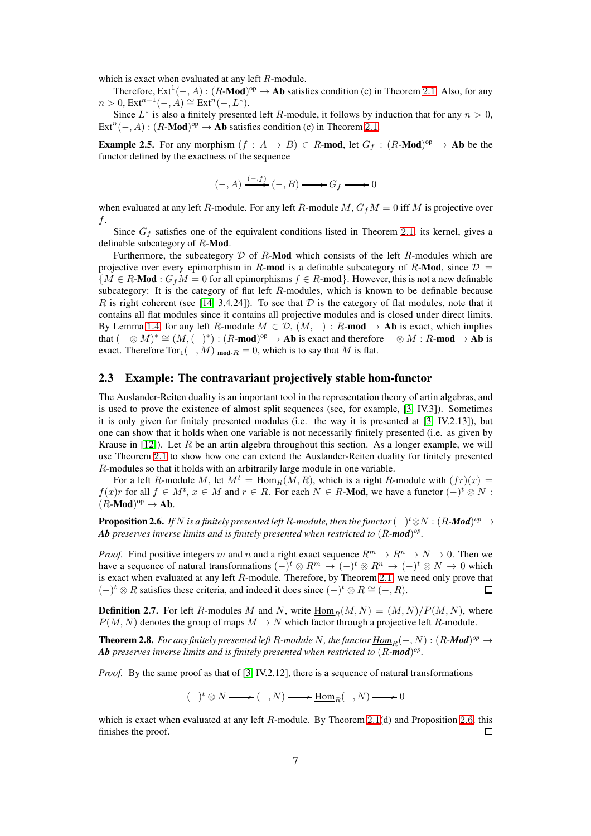which is exact when evaluated at any left R-module.

Therefore,  $Ext^1(-, A) : (R-Mod)^{op} \to Ab$  satisfies condition (c) in Theorem [2](#page-5-4).1. Also, for any  $n > 0$ ,  $\text{Ext}^{n+1}(-, A) \cong \text{Ext}^{n}(-, L^{*}).$ 

Since  $L^*$  is also a finitely presented left R-module, it follows by induction that for any  $n > 0$ ,  $Ext<sup>n</sup>(-, A) : (R-Mod)<sup>op</sup> \to Ab$  satisfies condition (c) in Theorem [2](#page-5-4).1.

**Example 2.5.** For any morphism  $(f : A \rightarrow B) \in R$ -mod, let  $G_f : (R\text{-Mod})^{\text{op}} \rightarrow Ab$  be the functor defined by the exactness of the sequence

$$
(-, A) \xrightarrow{(-, f)} (-, B) \longrightarrow G_f \longrightarrow 0
$$

when evaluated at any left R-module. For any left R-module M,  $G_fM = 0$  iff M is projective over  $f$ .

Since  $G_f$  satisfies one of the equivalent conditions listed in Theorem [2](#page-5-4).1, its kernel, gives a definable subcategory of R-Mod.

Furthermore, the subcategory  $D$  of R-**Mod** which consists of the left R-modules which are projective over every epimorphism in R-mod is a definable subcategory of R-Mod, since  $\mathcal{D} =$  ${M \in R\text{-Mod}: G_fM = 0 \text{ for all epimorphisms } f \in R\text{-mod}\}.$  However, this is not a new definable subcategory: It is the category of flat left R-modules, which is known to be definable because R is right coherent (see [\[14,](#page-20-0) 3.4.24]). To see that  $D$  is the category of flat modules, note that it contains all flat modules since it contains all projective modules and is closed under direct limits. By Lemma [1](#page-4-0).4, for any left R-module  $M \in \mathcal{D}$ ,  $(M, -) : R$ -mod  $\rightarrow$  Ab is exact, which implies that  $(- \otimes M)^* \cong (M, (-)^*) : (R\text{-mod})^{\text{op}} \to \text{Ab}$  is exact and therefore  $-\otimes M : R\text{-mod} \to \text{Ab}$  is exact. Therefore  $Tor_1(-, M)|_{mod R} = 0$ , which is to say that M is flat.

## <span id="page-7-0"></span>2.3 Example: The contravariant projectively stable hom-functor

The Auslander-Reiten duality is an important tool in the representation theory of artin algebras, and is used to prove the existence of almost split sequences (see, for example, [\[3,](#page-20-7) IV.3]). Sometimes it is only given for finitely presented modules (i.e. the way it is presented at [\[3,](#page-20-7) IV.2.13]), but one can show that it holds when one variable is not necessarily finitely presented (i.e. as given by Krause in  $[12]$ ). Let R be an artin algebra throughout this section. As a longer example, we will use Theorem [2](#page-5-4).1 to show how one can extend the Auslander-Reiten duality for finitely presented R-modules so that it holds with an arbitrarily large module in one variable.

For a left R-module M, let  $M^t = \text{Hom}_R(M, R)$ , which is a right R-module with  $(fr)(x)$  =  $f(x)r$  for all  $f \in M^t$ ,  $x \in M$  and  $r \in R$ . For each  $N \in R$ -**Mod**, we have a functor  $(-)^t \otimes N$ :  $(R\text{-}\mathbf{Mod})^{\text{op}} \to \mathbf{Ab}.$ 

<span id="page-7-1"></span>**Proposition 2.6.** *If*  $N$  *is a finitely presented left R-module, then the functor*  $(-)^t \otimes N : (R\text{-}\textit{Mod})^{op} \to$ *Ab preserves inverse limits and is finitely presented when restricted to* (R*-mod*) *op .*

*Proof.* Find positive integers m and n and a right exact sequence  $R^m \to R^n \to N \to 0$ . Then we have a sequence of natural transformations  $(-)^t \otimes R^m \to (-)^t \otimes R^n \to (-)^t \otimes N \to 0$  which is exact when evaluated at any left R-module. Therefore, by Theorem [2](#page-5-4).1, we need only prove that  $(-)^t$  ⊗ R satisfies these criteria, and indeed it does since  $(-)^t$  ⊗ R  $\cong (-, R)$ .  $\Box$ 

**Definition 2.7.** For left R-modules M and N, write  $\underline{\text{Hom}}_R(M, N) = (M, N)/P(M, N)$ , where  $P(M, N)$  denotes the group of maps  $M \to N$  which factor through a projective left R-module.

<span id="page-7-2"></span>**Theorem 2.8.** For any finitely presented left R-module N, the functor  $\underline{Hom}_R(-, N) : (R\text{-}\textit{Mod})^{op} \to$ *Ab preserves inverse limits and is finitely presented when restricted to* (R*-mod*) *op .*

*Proof.* By the same proof as that of [\[3,](#page-20-7) IV.2.12], there is a sequence of natural transformations

 $(-)^t \otimes N \longrightarrow (-, N) \longrightarrow \underline{\text{Hom}}_R(-, N) \longrightarrow 0$ 

which is exact when evaluated at any left R-module. By Theorem [2](#page-7-1).1(d) and Proposition 2.6, this finishes the proof.  $\Box$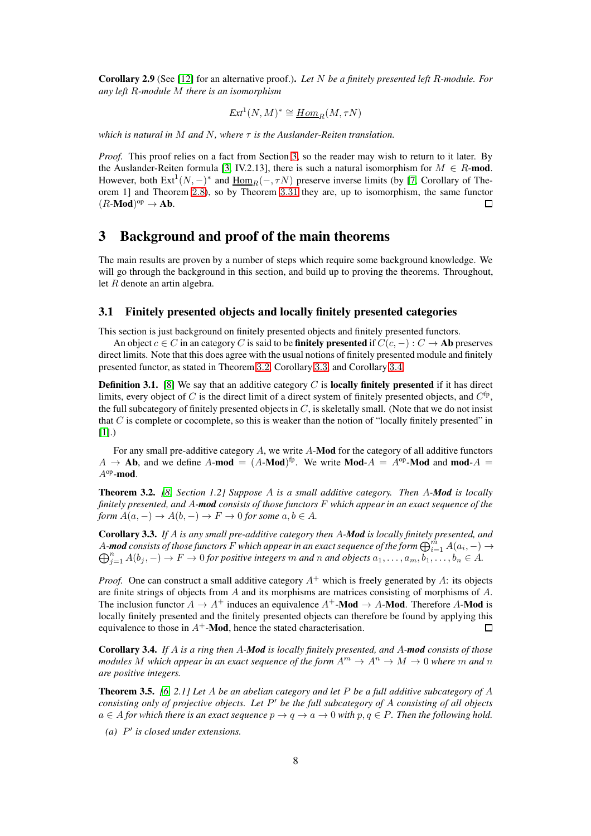Corollary 2.9 (See [\[12\]](#page-20-8) for an alternative proof.). *Let* N *be a finitely presented left* R*-module. For any left* R*-module* M *there is an isomorphism*

$$
\operatorname{Ext}^1(N,M)^* \cong \underline{\operatorname{Hom}}_R(M,\tau N)
$$

*which is natural in* M *and* N*, where* τ *is the Auslander-Reiten translation.*

*Proof.* This proof relies on a fact from Section [3,](#page-8-0) so the reader may wish to return to it later. By the Auslander-Reiten formula [\[3,](#page-20-7) IV.2.13], there is such a natural isomorphism for  $M \in R$ -mod. However, both  $Ext^1(N, -)^*$  and  $\underline{Hom}_R(-, \tau N)$  preserve inverse limits (by [\[7,](#page-20-9) Corollary of Theorem 1] and Theorem [2](#page-7-2).8), so by Theorem 3.[31](#page-13-1) they are, up to isomorphism, the same functor  $(R\text{-}\mathbf{Mod})^{\text{op}} \to \mathbf{Ab}.$  $\Box$ 

# <span id="page-8-0"></span>3 Background and proof of the main theorems

The main results are proven by a number of steps which require some background knowledge. We will go through the background in this section, and build up to proving the theorems. Throughout, let  $R$  denote an artin algebra.

## <span id="page-8-1"></span>3.1 Finitely presented objects and locally finitely presented categories

This section is just background on finitely presented objects and finitely presented functors.

An object  $c \in C$  in an category C is said to be **finitely presented** if  $C(c, -) : C \to$  Ab preserves direct limits. Note that this does agree with the usual notions of finitely presented module and finitely presented functor, as stated in Theorem [3](#page-8-2).2, Corollary [3](#page-8-3).3, and Corollary [3](#page-8-4).4.

**Definition 3.1.** [\[8\]](#page-20-10) We say that an additive category C is **locally finitely presented** if it has direct limits, every object of C is the direct limit of a direct system of finitely presented objects, and  $C<sup>f</sup>P$ , the full subcategory of finitely presented objects in  $C$ , is skeletally small. (Note that we do not insist that  $C$  is complete or cocomplete, so this is weaker than the notion of "locally finitely presented" in  $[1]$ .)

For any small pre-additive category A, we write A-Mod for the category of all additive functors  $A \rightarrow Ab$ , and we define A-mod =  $(A\text{-Mod})^{\text{fp}}$ . We write Mod- $A = A^{\text{op}}$ -Mod and mod- $A =$  $A^{\rm op}$ -mod.

<span id="page-8-2"></span>Theorem 3.2. *[\[8,](#page-20-10) Section 1.2] Suppose* A *is a small additive category. Then* A*-Mod is locally finitely presented, and* A*-mod consists of those functors* F *which appear in an exact sequence of the form*  $A(a, -) \rightarrow A(b, -) \rightarrow F \rightarrow 0$  *for some*  $a, b \in A$ *.* 

<span id="page-8-3"></span>Corollary 3.3. *If* A *is any small pre-additive category then* A*-Mod is locally finitely presented, and* A-*mod* consists of those functors  $\overline{F}$  which appear in an exact sequence of the form  $\bigoplus_{i=1}^{m} A(a_i, -) \to \bigoplus_{i=1}^{n} A(b_i, -) \to F \to 0$  for positive integers  $m$  and  $n$  and objects  $a_1, \ldots, a_m, b_1, \ldots, b_n \in A$ .  $\bigoplus_{j=1}^n A(b_j, -) \to F \to 0$  *for positive integers* m *and* n *and objects*  $a_1, \ldots, a_m, b_1, \ldots, b_n \in A$ .

*Proof.* One can construct a small additive category  $A^+$  which is freely generated by A: its objects are finite strings of objects from  $A$  and its morphisms are matrices consisting of morphisms of  $A$ . The inclusion functor  $A \to A^+$  induces an equivalence  $A^+$ -**Mod**  $\to A$ -**Mod**. Therefore A-**Mod** is locally finitely presented and the finitely presented objects can therefore be found by applying this equivalence to those in  $A^+$ -Mod, hence the stated characterisation.  $\Box$ 

<span id="page-8-4"></span>Corollary 3.4. *If* A *is a ring then* A*-Mod is locally finitely presented, and* A*-mod consists of those modules* M which appear in an exact sequence of the form  $A^m \to A^n \to M \to 0$  where m and n *are positive integers.*

Theorem 3.5. *[\[6,](#page-20-6) 2.1] Let* A *be an abelian category and let* P *be a full additive subcategory of* A *consisting only of projective objects. Let* P ′ *be the full subcategory of* A *consisting of all objects*  $a \in A$  *for which there is an exact sequence*  $p \to q \to a \to 0$  *with*  $p, q \in P$ *. Then the following hold.* 

*(a)* P ′ *is closed under extensions.*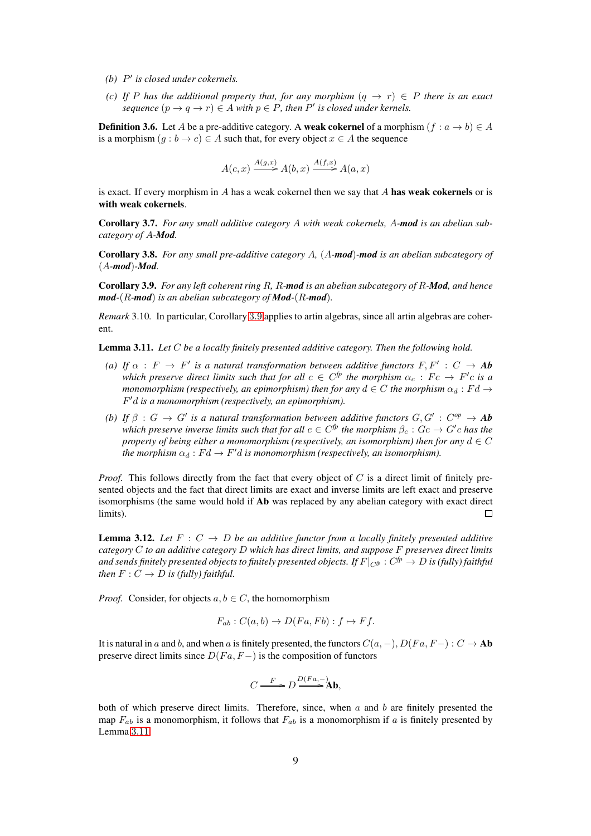- *(b)* P ′ *is closed under cokernels.*
- *(c)* If P has the additional property that, for any morphism  $(q \rightarrow r) \in P$  there is an exact *sequence*  $(p \to q \to r) \in A$  *with*  $p \in P$ *, then*  $P'$  *is closed under kernels.*

**Definition 3.6.** Let A be a pre-additive category. A weak cokernel of a morphism  $(f : a \rightarrow b) \in A$ is a morphism  $(q : b \to c) \in A$  such that, for every object  $x \in A$  the sequence

$$
A(c,x) \xrightarrow{A(g,x)} A(b,x) \xrightarrow{A(f,x)} A(a,x)
$$

is exact. If every morphism in  $A$  has a weak cokernel then we say that  $A$  has weak cokernels or is with weak cokernels.

<span id="page-9-4"></span>Corollary 3.7. *For any small additive category* A *with weak cokernels,* A*-mod is an abelian subcategory of* A*-Mod.*

<span id="page-9-2"></span>Corollary 3.8. *For any small pre-additive category* A*,* (A*-mod*)*-mod is an abelian subcategory of* (A*-mod*)*-Mod.*

<span id="page-9-0"></span>Corollary 3.9. *For any left coherent ring* R*,* R*-mod is an abelian subcategory of* R*-Mod, and hence mod-*(R*-mod*) *is an abelian subcategory of Mod-*(R*-mod*)*.*

*Remark* 3.10*.* In particular, Corollary [3](#page-9-0).9 applies to artin algebras, since all artin algebras are coherent.

<span id="page-9-1"></span>Lemma 3.11. *Let* C *be a locally finitely presented additive category. Then the following hold.*

- (a) If  $\alpha$  :  $F \to F'$  is a natural transformation between additive functors  $F, F' : C \to A$ **b** *which preserve direct limits such that for all*  $c \in C^{fp}$  *the morphism*  $\alpha_c : Fc \to F'c$  *is a monomorphism (respectively, an epimorphism) then for any*  $d \in C$  *the morphism*  $\alpha_d : F d \rightarrow$ F ′d *is a monomorphism (respectively, an epimorphism).*
- *(b)* If  $\beta$  :  $G \to G'$  is a natural transformation between additive functors  $G, G' : C^{op} \to A\mathbf{b}$ *which preserve inverse limits such that for all*  $c \in C^{fp}$  *the morphism*  $\beta_c : Gc \to G'c$  *has the property of being either a monomorphism (respectively, an isomorphism) then for any*  $d \in C$ *the morphism*  $\alpha_d : Fd \to F'd$  *is monomorphism* (respectively, an isomorphism).

*Proof.* This follows directly from the fact that every object of C is a direct limit of finitely presented objects and the fact that direct limits are exact and inverse limits are left exact and preserve isomorphisms (the same would hold if Ab was replaced by any abelian category with exact direct limits). П

<span id="page-9-3"></span>**Lemma 3.12.** Let  $F : C \to D$  be an additive functor from a locally finitely presented additive *category* C *to an additive category* D *which has direct limits, and suppose* F *preserves direct limits* and sends finitely presented objects to finitely presented objects. If  $F|_{C^{/\!p}}:C^{/\!\!/p}\to D$  is (fully) faithful *then*  $F: C \to D$  *is (fully) faithful.* 

*Proof.* Consider, for objects  $a, b \in C$ , the homomorphism

$$
F_{ab}: C(a,b) \to D(Fa,Fb): f \mapsto Ff.
$$

It is natural in a and b, and when a is finitely presented, the functors  $C(a, -)$ ,  $D(Fa, F-)$ :  $C \rightarrow$  Ab preserve direct limits since  $D(Fa, F-)$  is the composition of functors

$$
C \xrightarrow{F} D \xrightarrow{D(Fa,-)} \mathbf{Ab},
$$

both of which preserve direct limits. Therefore, since, when  $a$  and  $b$  are finitely presented the map  $F_{ab}$  is a monomorphism, it follows that  $F_{ab}$  is a monomorphism if a is finitely presented by Lemma 3.[11](#page-9-1).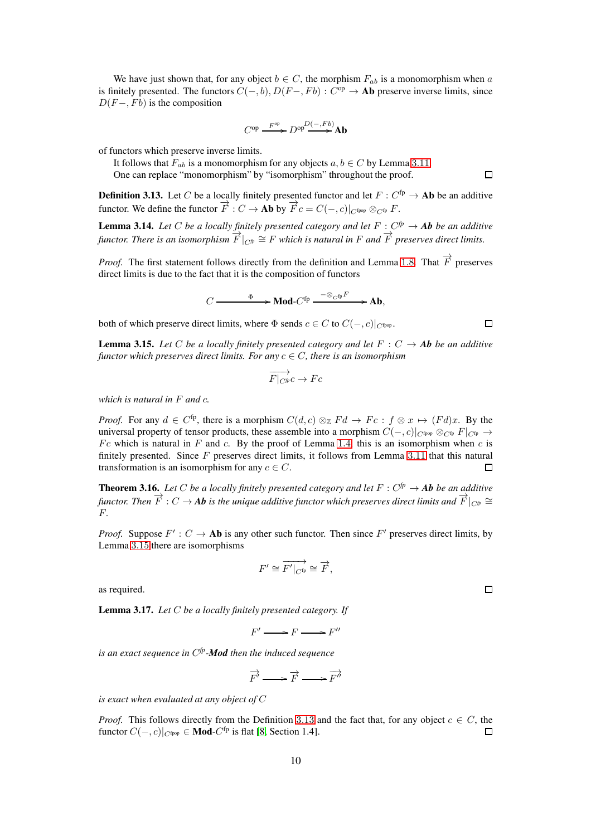We have just shown that, for any object  $b \in C$ , the morphism  $F_{ab}$  is a monomorphism when a is finitely presented. The functors  $C(-, b)$ ,  $D(F-, Fb)$  :  $C^{op} \to$  Ab preserve inverse limits, since  $D(F-, Fb)$  is the composition

$$
C^{\rm op} \xrightarrow{F^{\rm op}} D^{\rm op} \xrightarrow{D(-, Fb)} \mathbf{Ab}
$$

of functors which preserve inverse limits.

It follows that  $F_{ab}$  is a monomorphism for any objects  $a, b \in C$  by Lemma 3.[11](#page-9-1).

One can replace "monomorphism" by "isomorphism" throughout the proof.

<span id="page-10-1"></span>**Definition 3.13.** Let C be a locally finitely presented functor and let  $F : C^{fp} \to A\mathbf{b}$  be an additive functor. We define the functor  $\overrightarrow{F}$  :  $C \rightarrow$  Ab by  $\overrightarrow{F}$  c =  $C(-, c)|_{C^{fpp}} \otimes_{C^{fp}} F$ .

**Lemma 3.14.** Let C be a locally finitely presented category and let  $F : C^{fp} \to Ab$  be an additive *functor. There is an isomorphism*  $\overrightarrow{F}|_{C/F} \cong F$  *which is natural in* F *and*  $\overrightarrow{F}$  *preserves direct limits.* 

*Proof.* The first statement follows directly from the definition and Lemma [1](#page-4-1).8. That  $\overrightarrow{F}$  preserves direct limits is due to the fact that it is the composition of functors

$$
C \xrightarrow{\Phi} \textbf{Mod-}C^{\text{fp}} \xrightarrow{\phantom{con} \text{mod } C^{\text{fp}} \textbf{Mod}} \textbf{Ab},
$$

both of which preserve direct limits, where  $\Phi$  sends  $c \in C$  to  $C(-, c)|_{C^{\text{fpop}}}$ .

<span id="page-10-0"></span>**Lemma 3.15.** Let C be a locally finitely presented category and let  $F : C \to Ab$  be an additive *functor which preserves direct limits. For any*  $c \in C$ *, there is an isomorphism* 

$$
\overrightarrow{F|_{C'^\!p}}c \to Fc
$$

*which is natural in* F *and* c*.*

*Proof.* For any  $d \in C^{fp}$ , there is a morphism  $C(d, c) \otimes_{\mathbb{Z}} Fd \to Fc : f \otimes x \mapsto (Fd)x$ . By the universal property of tensor products, these assemble into a morphism  $C(-, c)|_{C<sup>f</sup>(p)} \otimes_{C<sup>f</sup>} F|_{C<sup>f</sup>(p)} \rightarrow$ Fc which is natural in F and c. By the proof of Lemma [1](#page-4-0).4, this is an isomorphism when c is finitely presented. Since F preserves direct limits, it follows from Lemma 3.[11](#page-9-1) that this natural transformation is an isomorphism for any  $c \in C$ . П

<span id="page-10-2"></span>**Theorem 3.16.** Let C be a locally finitely presented category and let  $F : C^{fp} \to Ab$  be an additive *functor. Then*  $\overrightarrow{F}$  :  $C \rightarrow A$ *b is the unique additive functor which preserves direct limits and*  $\overrightarrow{F}|_{C/p} \cong$ F*.*

*Proof.* Suppose  $F' : C \to \text{Ab}$  is any other such functor. Then since  $F'$  preserves direct limits, by Lemma 3.[15](#page-10-0) there are isomorphisms

$$
F' \cong \overrightarrow{F'|_{C^{\text{fp}}}} \cong \overrightarrow{F},
$$

as required.

<span id="page-10-3"></span>Lemma 3.17. *Let* C *be a locally finitely presented category. If*

 $F' \longrightarrow F \longrightarrow F''$ 

*is an exact sequence in* C *fp -Mod then the induced sequence*

$$
\overrightarrow{F} \longrightarrow \overrightarrow{F} \longrightarrow \overrightarrow{F''}
$$

*is exact when evaluated at any object of* C

*Proof.* This follows directly from the Definition 3.[13](#page-10-1) and the fact that, for any object  $c \in C$ , the functor  $C(-, c)|_{C^{\text{fpop}}} \in \textbf{Mod-}C^{\text{fp}}$  is flat [\[8,](#page-20-10) Section 1.4].  $\Box$ 

 $\Box$ 

 $\Box$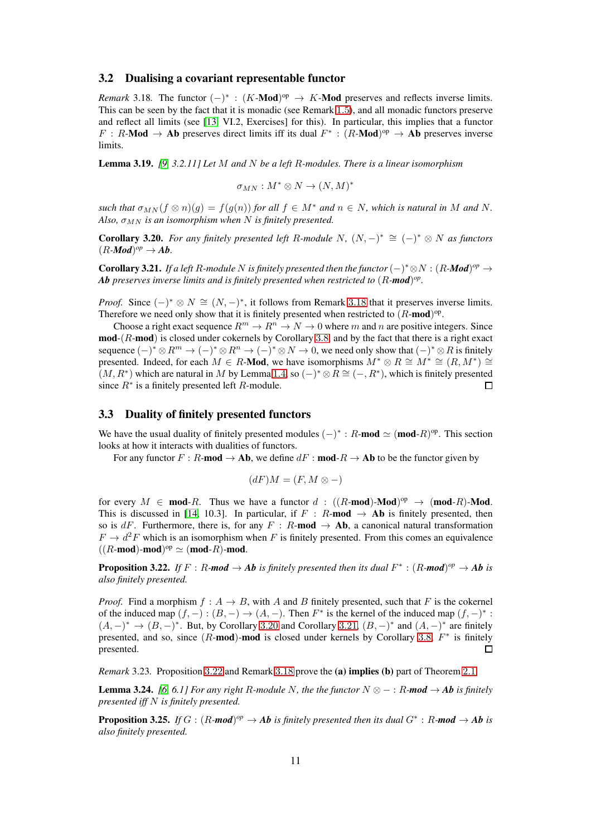#### <span id="page-11-0"></span>3.2 Dualising a covariant representable functor

<span id="page-11-3"></span>*Remark* 3.18. The functor  $(-)^*$ :  $(K$ -**Mod**)<sup>op</sup>  $\rightarrow$  K-**Mod** preserves and reflects inverse limits. This can be seen by the fact that it is monadic (see Remark [1](#page-4-2).5), and all monadic functors preserve and reflect all limits (see [\[13,](#page-20-4) VI.2, Exercises] for this). In particular, this implies that a functor  $F: R$ -Mod  $\rightarrow$  Ab preserves direct limits iff its dual  $F^*: (R$ -Mod)<sup>op</sup>  $\rightarrow$  Ab preserves inverse limits.

<span id="page-11-7"></span>Lemma 3.19. *[\[9,](#page-20-12) 3.2.11] Let* M *and* N *be a left* R*-modules. There is a linear isomorphism*

$$
\sigma_{MN}: M^* \otimes N \to (N, M)^*
$$

*such that*  $\sigma_{MN}(f \otimes n)(g) = f(g(n))$  *for all*  $f \in M^*$  *and*  $n \in N$ *, which is natural in* M *and* N. *Also,*  $\sigma_{MN}$  *is an isomorphism when* N *is finitely presented.* 

<span id="page-11-4"></span>**Corollary 3.20.** For any finitely presented left R-module N,  $(N, -)^* \cong (-)^* \otimes N$  as functors  $(R$ *-Mod)<sup>op</sup>*  $\rightarrow$  *Ab*.

<span id="page-11-5"></span>**Corollary 3.21.** *If a left* R-module N *is finitely presented then the functor*  $(-)^* \otimes N : (R \text{-} \text{Mod})^{op} \rightarrow$ *Ab preserves inverse limits and is finitely presented when restricted to* (R*-mod*) *op .*

*Proof.* Since  $(-)^* \otimes N \cong (N, -)^*$ , it follows from Remark 3.[18](#page-11-3) that it preserves inverse limits. Therefore we need only show that it is finitely presented when restricted to  $(R\text{-mod})^{\text{op}}$ .

Choose a right exact sequence  $R^m \to R^n \to N \to 0$  where m and n are positive integers. Since  $\text{mod-}(R\text{-mod})$  is closed under cokernels by Corollary [3](#page-9-2).8, and by the fact that there is a right exact sequence  $(-)^* \otimes R^m \to (-)^* \otimes R^n \to (-)^* \otimes N \to 0$ , we need only show that  $(-)^* \otimes R$  is finitely presented. Indeed, for each  $M \in R$ -**Mod**, we have isomorphisms  $M^* \otimes R \cong M^* \cong (R, M^*) \cong$  $(M, R^*)$  which are natural in M by Lemma [1](#page-4-0).4, so  $(-)^* \otimes R \cong (-, R^*)$ , which is finitely presented since  $R^*$  is a finitely presented left  $R$ -module.  $\Box$ 

#### <span id="page-11-1"></span>3.3 Duality of finitely presented functors

We have the usual duality of finitely presented modules  $(-)^* : R$ -mod  $\simeq$  (mod- $R$ )<sup>op</sup>. This section looks at how it interacts with dualities of functors.

For any functor  $F : R$ -mod  $\rightarrow$  Ab, we define  $dF : \text{mod-}R \rightarrow$  Ab to be the functor given by

$$
(dF)M = (F, M \otimes -)
$$

for every  $M \in \text{mod-}R$ . Thus we have a functor  $d : ((R\text{-mod})\text{-}\text{Mod})^{\text{op}} \to (\text{mod-}R)\text{-}\text{Mod}$ . This is discussed in [\[14,](#page-20-0) 10.3]. In particular, if  $F : R$ -mod  $\rightarrow$  Ab is finitely presented, then so is dF. Furthermore, there is, for any  $F : R$ -mod  $\rightarrow$  Ab, a canonical natural transformation  $F \to d^2F$  which is an isomorphism when F is finitely presented. From this comes an equivalence  $((R\text{-}\mathbf{mod})\text{-}\mathbf{mod})^{\text{op}} \simeq (\mathbf{mod}\text{-}R)\text{-}\mathbf{mod}.$ 

<span id="page-11-6"></span>**Proposition 3.22.** If  $F : R$ - $mod \rightarrow Ab$  is finitely presented then its dual  $F^* : (R$ - $mod)^{op} \rightarrow Ab$  is *also finitely presented.*

*Proof.* Find a morphism  $f : A \rightarrow B$ , with A and B finitely presented, such that F is the cokernel of the induced map  $(f, -) : (B, -) \to (A, -)$ . Then  $F^*$  is the kernel of the induced map  $(f, -)^*$ :  $(A, -)^* \rightarrow (B, -)^*$ . But, by Corollary 3.[20](#page-11-4) and Corollary 3.[21](#page-11-5),  $(B, -)^*$  and  $(A, -)^*$  are finitely presented, and so, since  $(R$ -mod)-mod is closed under kernels by Corollary [3](#page-9-2).8,  $F^*$  is finitely presented. П

<span id="page-11-2"></span>*Remark* 3.23. Proposition 3.[22](#page-11-6) and Remark 3.[18](#page-11-3) prove the (a) implies (b) part of Theorem [2](#page-5-4).1.

<span id="page-11-8"></span>**Lemma 3.24.** *[\[6,](#page-20-6) 6.1] For any right* R-module N, the the functor  $N \otimes -$  : R-*mod*  $\rightarrow$  *Ab is finitely presented iff* N *is finitely presented.*

**Proposition 3.25.** *If*  $G : (R$ *-mod* $)^{op} \rightarrow Ab$  *is finitely presented then its dual*  $G^* : R$ *-mod*  $\rightarrow Ab$  *is also finitely presented.*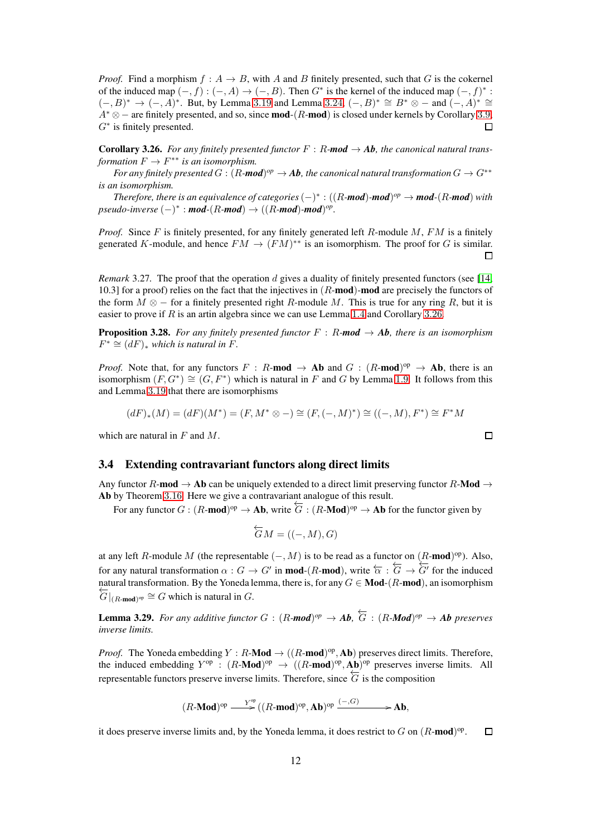*Proof.* Find a morphism  $f : A \rightarrow B$ , with A and B finitely presented, such that G is the cokernel of the induced map  $(-, f) : (-, A) \to (-, B)$ . Then  $G^*$  is the kernel of the induced map  $(-, f)^*$ :  $(-, B)^* \rightarrow (-, A)^*$ . But, by Lemma 3.[19](#page-11-7) and Lemma 3.[24](#page-11-8),  $(-, B)^* \cong B^* \otimes -$  and  $(-, A)^* \cong$  $A^* \otimes -$  are finitely presented, and so, since **mod**-(R-**mod**) is closed under kernels by Corollary [3](#page-9-0).9,  $G^*$  is finitely presented. П

<span id="page-12-1"></span>**Corollary 3.26.** For any finitely presented functor  $F : R$ -*mod*  $\rightarrow$  *Ab*, the canonical natural trans*formation*  $F \to F^{**}$  *is an isomorphism.* 

For any finitely presented  $G : (R\text{-mod})^{op} \to A\mathbf{b}$ , the canonical natural transformation  $G \to G^{**}$ *is an isomorphism.*

 $\mathbf{Therefore, there is an equivalence of categories } (-)^* : ((R\text{-}\mathbf{mod})\text{-}\mathbf{mod})^{op} \to \mathbf{mod} \text{-}(R\text{-}\mathbf{mod})$  with  $pseudo\text{-}inverse(-)^{*}: \text{mod-}(R\text{-}\text{mod}) \rightarrow ((R\text{-}\text{mod})\text{-}\text{mod})^{op}.$ 

*Proof.* Since F is finitely presented, for any finitely generated left R-module  $M$ ,  $FM$  is a finitely generated K-module, and hence  $FM \to (FM)^{**}$  is an isomorphism. The proof for G is similar. п

*Remark* 3.27. The proof that the operation d gives a duality of finitely presented functors (see [\[14,](#page-20-0) 10.31 for a proof) relies on the fact that the injectives in  $(R\text{-mod})\text{-mod}$  are precisely the functors of the form  $M \otimes -$  for a finitely presented right R-module M. This is true for any ring R, but it is easier to prove if  $R$  is an artin algebra since we can use Lemma [1](#page-4-0).4 and Corollary 3.[26](#page-12-1).

<span id="page-12-3"></span>**Proposition 3.28.** For any finitely presented functor  $F : R$ -*mod*  $\rightarrow$  *Ab*, there is an isomorphism  $F^* \cong (dF)_*$  *which is natural in F.* 

*Proof.* Note that, for any functors  $F : R$ -mod  $\rightarrow$  Ab and  $G : (R$ -mod)<sup>op</sup>  $\rightarrow$  Ab, there is an isomorphism  $(F, G^*) \cong (G, F^*)$  which is natural in F and G by Lemma [1](#page-4-3).9. It follows from this and Lemma 3.[19](#page-11-7) that there are isomorphisms

$$
(dF)_*(M) = (dF)(M^*) = (F, M^* \otimes -) \cong (F, (-, M)^*) \cong ((-, M), F^*) \cong F^*M
$$

which are natural in  $F$  and  $M$ .

#### <span id="page-12-0"></span>3.4 Extending contravariant functors along direct limits

Any functor R-**mod**  $\rightarrow$  Ab can be uniquely extended to a direct limit preserving functor R-Mod  $\rightarrow$ Ab by Theorem 3.[16](#page-10-2). Here we give a contravariant analogue of this result.

For any functor  $G : (R\text{-mod})^{\text{op}} \to \text{Ab}$ , write  $\overline{G} : (R\text{-Mod})^{\text{op}} \to \text{Ab}$  for the functor given by

$$
\overleftarrow{G}M = ((-,M),G)
$$

at any left R-module M (the representable  $(-, M)$  is to be read as a functor on  $(R\text{-mod})^{\text{op}}$ ). Also, for any natural transformation  $\alpha : G \to G'$  in **mod**-(R-**mod**), write  $\overleftarrow{\alpha} : \overleftarrow{G} \to \overrightarrow{G'}$  for the induced natural transformation. By the Yoneda lemma, there is, for any  $G \in \text{Mod-}(R\text{-mod})$ , an isomorphism  $\widehat{G}|_{(R\text{-mod})^{\text{op}}} \cong G$  which is natural in G.

<span id="page-12-2"></span>**Lemma 3.29.** For any additive functor  $G : (R$ - $mod)$ <sup>op</sup>  $\rightarrow$  *Ab*,  $\overleftarrow{G} : (R$ - $Mod)$ <sup>op</sup>  $\rightarrow$  *Ab* preserves *inverse limits.*

*Proof.* The Yoneda embedding  $Y : R$ -**Mod**  $\rightarrow ((R$ -**mod**)<sup>op</sup>, **Ab**) preserves direct limits. Therefore, the induced embedding  $Y^{op}$  :  $(R\text{-Mod})^{op} \rightarrow ((R\text{-mod})^{op}, Ab)^{op}$  preserves inverse limits. All representable functors preserve inverse limits. Therefore, since  $\overline{G}$  is the composition

$$
(R\text{-}\mathbf{Mod})^{\mathrm{op}}\xrightarrow{\phantom{op}}\phantom{H^{\mathrm{op}}}\left((R\text{-}\mathbf{mod})^{\mathrm{op}},\mathbf{Ab}\right)^{\mathrm{op}}\xrightarrow{\phantom{H^{\mathrm{op}}}}\mathbf{Ab},
$$

it does preserve inverse limits and, by the Yoneda lemma, it does restrict to G on  $(R\text{-mod})^{\text{op}}$ .  $\Box$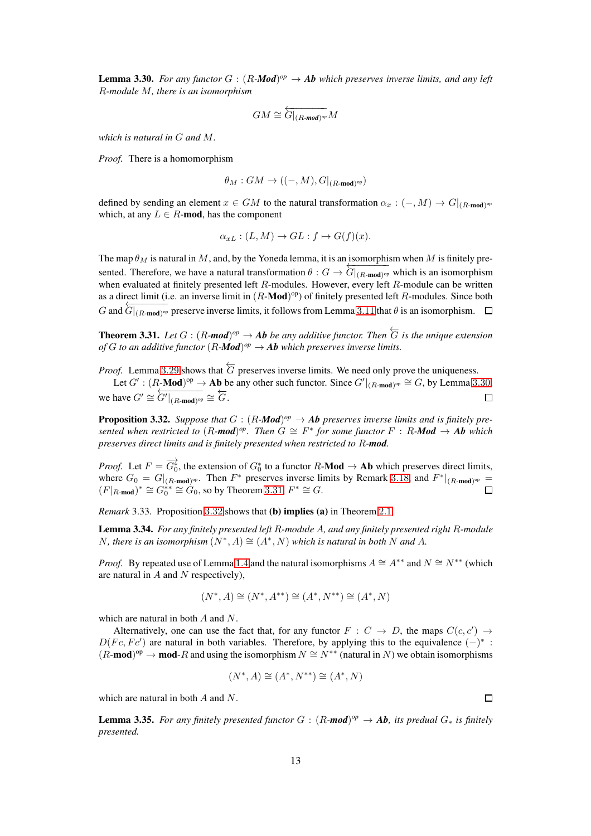<span id="page-13-2"></span>**Lemma 3.30.** For any functor  $G : (R \text{-} \textit{Mod})^{op} \to Ab$  which preserves inverse limits, and any left R*-module* M*, there is an isomorphism*

$$
GM\cong \overleftarrow{G|_{(R\textrm{-mod})^{op}}}M
$$

*which is natural in* G *and* M*.*

*Proof.* There is a homomorphism

$$
\theta_M: GM \to ((-,M),G|_{(R\text{-mod})^{\text{op}}})
$$

defined by sending an element  $x \in GM$  to the natural transformation  $\alpha_x : (-, M) \to G|_{(R\text{-mod})^{\text{op}}}$ which, at any  $L \in R$ -mod, has the component

$$
\alpha_{xL} : (L, M) \to GL : f \mapsto G(f)(x).
$$

The map  $\theta_M$  is natural in M, and, by the Yoneda lemma, it is an isomorphism when M is finitely presented. Therefore, we have a natural transformation  $\theta$  :  $G \rightarrow G|_{(R\text{-mod})^{\text{op}}}$  which is an isomorphism when evaluated at finitely presented left  $R$ -modules. However, every left  $R$ -module can be written as a direct limit (i.e. an inverse limit in  $(R\text{-Mod})^{\text{op}}$ ) of finitely presented left  $R$ -modules. Since both G and  $G|_{(R\text{-mod})^{\text{op}}}$  preserve inverse limits, it follows from Lemma 3.[11](#page-9-1) that  $\theta$  is an isomorphism.  $\Box$ 

<span id="page-13-1"></span>**Theorem 3.31.** Let  $G : (R$ -*mod* $)^{op}$   $\rightarrow$  *Ab be any additive functor. Then*  $\overleftarrow{G}$  *is the unique extension of* G to an additive functor  $(R \text{-} \textit{Mod})^{op} \rightarrow Ab$  which preserves inverse limits.

*Proof.* Lemma 3.[29](#page-12-2) shows that  $\overleftarrow{G}$  preserves inverse limits. We need only prove the uniqueness.

Let  $G': (R-\text{Mod})^{\text{op}} \to \text{Ab}$  be any other such functor. Since  $G'|_{(R-\text{mod})^{\text{op}}} \cong G$ , by Lemma 3.[30](#page-13-2), we have  $G' \cong \overleftarrow{G'|_{(R\text{-mod})^{\text{op}}}} \cong \overleftarrow{G}.$  $\Box$ 

<span id="page-13-0"></span>**Proposition 3.32.** Suppose that  $G : (R \text{-} \textit{Mod})^{op} \to Ab$  preserves inverse limits and is finitely pre*sented when restricted to*  $(R$ -*mod*)<sup>*op*</sup>. Then  $G \cong F^*$  for some functor  $F : R$ -*Mod*  $\rightarrow$  *Ab which preserves direct limits and is finitely presented when restricted to* R*-mod.*

*Proof.* Let  $F = \overrightarrow{G_0^*}$ , the extension of  $G_0^*$  to a functor  $R$ -**Mod**  $\rightarrow$  **Ab** which preserves direct limits, where  $G_0 = G|_{(R\text{-mod})^{\text{op}}}$ . Then  $F^*$  preserves inverse limits by Remark 3.[18](#page-11-3), and  $F^*|_{(R\text{-mod})^{\text{op}}}$  $(F|_{R\text{-mod}})^* \cong G_0^{**} \cong G_0$ , so by Theorem 3.[31](#page-13-1),  $F^* \cong G$ .  $\Box$ 

*Remark* 3.33*.* Proposition 3.[32](#page-13-0) shows that (b) implies (a) in Theorem [2](#page-5-4).1.

<span id="page-13-3"></span>Lemma 3.34. *For any finitely presented left* R*-module* A*, and any finitely presented right* R*-module*  $N$ , there is an isomorphism  $(N^*, A) \cong (A^*, N)$  which is natural in both  $N$  and  $A$ .

*Proof.* By repeated use of Lemma [1](#page-4-0).4 and the natural isomorphisms  $A \cong A^{**}$  and  $N \cong N^{**}$  (which are natural in  $A$  and  $N$  respectively),

$$
(N^*, A) \cong (N^*, A^{**}) \cong (A^*, N^{**}) \cong (A^*, N)
$$

which are natural in both A and N.

Alternatively, one can use the fact that, for any functor  $F : C \to D$ , the maps  $C(c, c') \to$  $D(Fc, Fc')$  are natural in both variables. Therefore, by applying this to the equivalence  $(-)^*$ :  $(R$ -mod)<sup>op</sup> → mod-R and using the isomorphism  $N \cong N^{**}$  (natural in N) we obtain isomorphisms

$$
(N^*, A) \cong (A^*, N^{**}) \cong (A^*, N)
$$

which are natural in both A and N.

**Lemma 3.35.** For any finitely presented functor  $G : (R$ - $mod)$ <sup>op</sup>  $\rightarrow$  *Ab*, its predual  $G_*$  is finitely *presented.*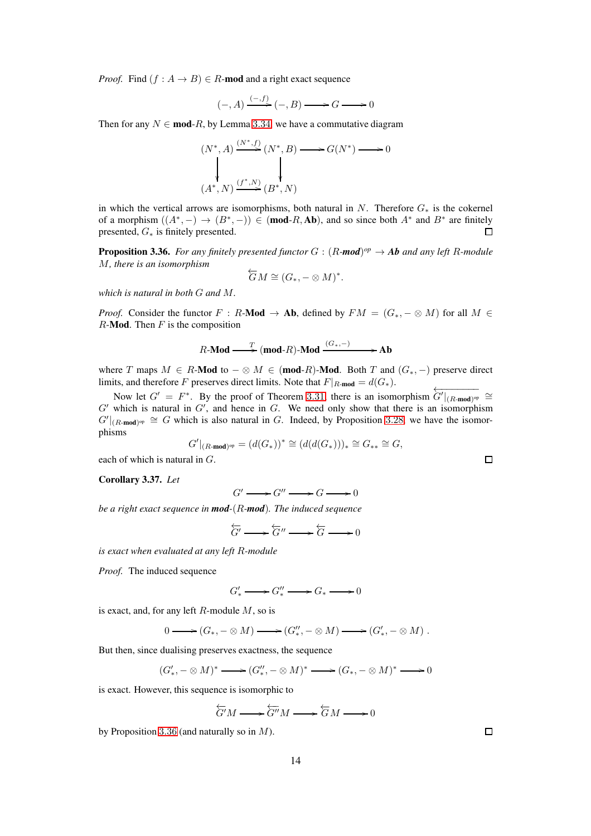*Proof.* Find  $(f : A \rightarrow B) \in R$ -mod and a right exact sequence

$$
(-, A) \xrightarrow{(-, f)} (-, B) \longrightarrow G \longrightarrow 0
$$

Then for any  $N \in \text{mod-}R$ , by Lemma 3.[34](#page-13-3), we have a commutative diagram

$$
(N^*, A) \xrightarrow{(N^*, f)} (N^*, B) \longrightarrow G(N^*) \longrightarrow 0
$$
  
\n
$$
\downarrow \qquad \qquad \downarrow
$$
  
\n
$$
(A^*, N) \xrightarrow{(f^*, N)} (B^*, N)
$$

in which the vertical arrows are isomorphisms, both natural in N. Therefore  $G_*$  is the cokernel of a morphism  $((A^*, -) \to (B^*, -)) \in (mod-R, Ab)$ , and so since both  $A^*$  and  $B^*$  are finitely presented,  $G_*$  is finitely presented.  $\Box$ 

<span id="page-14-0"></span>**Proposition 3.36.** For any finitely presented functor  $G : (R$ - $mod$ <sup>op</sup>  $\rightarrow$  Ab and any left R-module M, there is an isomorphism

$$
\overleftarrow{G}M \cong (G_*, -\otimes M)^*.
$$

*which is natural in both* G *and* M*.*

*Proof.* Consider the functor  $F : R$ -Mod  $\rightarrow$  Ab, defined by  $FM = (G_*, - \otimes M)$  for all  $M \in$  $R$ -**Mod**. Then  $F$  is the composition

$$
R\text{-Mod} \xrightarrow{T} (\text{mod-}R)\text{-Mod} \xrightarrow{(G_*,-)} \text{Ab}
$$

where T maps  $M \in R$ -**Mod** to  $-\otimes M \in (mod-R)$ -**Mod**. Both T and  $(G_*, -)$  preserve direct limits, and therefore F preserves direct limits. Note that  $F|_{R\text{-mod}} = d(G_*)$ .

Now let  $G' = F^*$ . By the proof of Theorem 3.[31](#page-13-1), there is an isomorphism  $\overline{G' |_{(R\text{-mod})^{\text{op}}}} \cong$  $G'$  which is natural in  $G'$ , and hence in  $G$ . We need only show that there is an isomorphism  $G'|_{(R\text{-mod})^{\text{op}}} \cong G$  which is also natural in G. Indeed, by Proposition 3.[28](#page-12-3), we have the isomorphisms

$$
G'|_{(R\text{-}\mathrm{mod})^{\mathrm{op}}}=(d(G_\ast))^\ast\cong (d(d(G_\ast)))_\ast\cong G_{\ast\ast}\cong G,
$$

each of which is natural in G.

<span id="page-14-1"></span>Corollary 3.37. *Let*

$$
G' \longrightarrow G'' \longrightarrow G \longrightarrow 0
$$

*be a right exact sequence in mod-*(R*-mod*)*. The induced sequence*

$$
\overleftarrow{G'} \longrightarrow \overleftarrow{G''} \longrightarrow \overleftarrow{G} \longrightarrow 0
$$

*is exact when evaluated at any left* R*-module*

*Proof.* The induced sequence

$$
G'_* \longrightarrow G''_* \longrightarrow G_* \longrightarrow 0
$$

is exact, and, for any left  $R$ -module  $M$ , so is

$$
0 \longrightarrow (G_*, -\otimes M) \longrightarrow (G_*'' , -\otimes M) \longrightarrow (G_*', -\otimes M) .
$$

But then, since dualising preserves exactness, the sequence

$$
(G'_*, -\otimes M)^* \longrightarrow (G''_*, -\otimes M)^* \longrightarrow (G_*, -\otimes M)^* \longrightarrow 0
$$

is exact. However, this sequence is isomorphic to

$$
\overleftarrow{G'}M \longrightarrow \overleftarrow{G''}M \longrightarrow \overleftarrow{G}M \longrightarrow 0
$$

by Proposition 3.[36](#page-14-0) (and naturally so in  $M$ ).

 $\Box$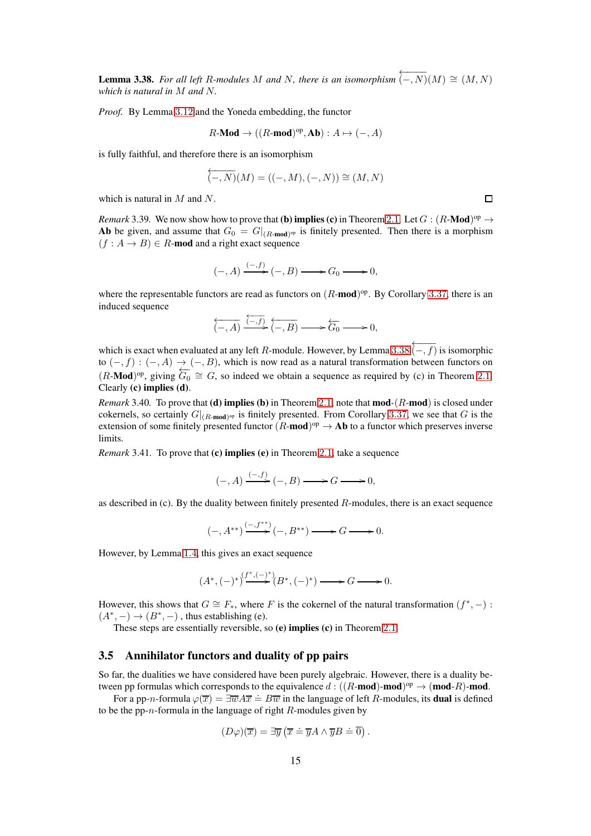<span id="page-15-3"></span>**Lemma 3.38.** For all left R-modules M and N, there is an isomorphism  $\overleftarrow{(-,N)}(M) \cong (M, N)$ *which is natural in* M *and* N*.*

*Proof.* By Lemma 3.[12](#page-9-3) and the Yoneda embedding, the functor

$$
R\text{-}\mathbf{Mod} \to ((R\text{-}\mathbf{mod})^{\text{op}}, \mathbf{Ab}): A \mapsto (-, A)
$$

is fully faithful, and therefore there is an isomorphism

$$
\overleftarrow{(-,N)}(M) = ((-,M),(-,N)) \cong (M,N)
$$

which is natural in  $M$  and  $N$ .

*Remark* 3.39. We now show how to prove that (**b**) **implies** (c) in Theorem [2](#page-5-4).1. Let  $G : (R\text{-Mod})^{\text{op}} \to$ Ab be given, and assume that  $G_0 = G|_{(R\text{-mod})^{\text{op}}}$  is finitely presented. Then there is a morphism  $(f: A \rightarrow B) \in R$ -mod and a right exact sequence

$$
(-, A) \xrightarrow{(-, f)} (-, B) \longrightarrow G_0 \longrightarrow 0,
$$

where the representable functors are read as functors on  $(R\text{-mod})^{\text{op}}$ . By Corollary 3.[37](#page-14-1), there is an induced sequence

$$
\overleftarrow{(-,A)} \xrightarrow{\overleftarrow{(-,f)}} \overleftarrow{(-,B)} \xrightarrow{ \ \ \overleftarrow{G_0} \longrightarrow 0, }
$$

which is exact when evaluated at any left R-module. However, by Lemma 3.[38](#page-15-3)  $\overline{(-, f)}$  is isomorphic to  $(-, f) : (-, A) \rightarrow (-, B)$ , which is now read as a natural transformation between functors on  $(R\text{-Mod})^{\text{op}}$ , giving  $\overleftarrow{G_0} \cong G$ , so indeed we obtain a sequence as required by (c) in Theorem [2](#page-5-4).1. Clearly (c) implies (d).

<span id="page-15-1"></span>*Remark* 3.40. To prove that (d) implies (b) in Theorem [2](#page-5-4).1, note that  $\text{mod-}(R\text{-mod})$  is closed under cokernels, so certainly  $G|_{(R\text{-mod})^{\text{op}}}$  is finitely presented. From Corollary 3.[37](#page-14-1), we see that G is the extension of some finitely presented functor  $(R\text{-mod})^{\text{op}} \to \text{Ab}$  to a functor which preserves inverse limits.

<span id="page-15-2"></span>*Remark* 3.41. To prove that (c) **implies** (e) in Theorem [2](#page-5-4).1, take a sequence

$$
(-, A) \xrightarrow{(-, f)} (-, B) \longrightarrow G \longrightarrow 0,
$$

as described in (c). By the duality between finitely presented  $R$ -modules, there is an exact sequence

$$
(-,A^{**})\mathop{\longrightarrow}^{(-,f^{**})}(-,B^{**})\longrightarrow G\longrightarrow 0.
$$

However, by Lemma [1](#page-4-0).4, this gives an exact sequence

$$
(A^*,(-)^*)^{\stackrel{(f^*,(-)^*)}{\longrightarrow}}\hspace{-0.1cm}(B^*,(-)^*)\longrightarrow G\longrightarrow 0.
$$

However, this shows that  $G \cong F_*$ , where F is the cokernel of the natural transformation  $(f^*, -)$ :  $(A^*, -) \rightarrow (B^*, -)$ , thus establishing (e).

These steps are essentially reversible, so (e) implies (c) in Theorem [2](#page-5-4).1.

## <span id="page-15-0"></span>3.5 Annihilator functors and duality of pp pairs

So far, the dualities we have considered have been purely algebraic. However, there is a duality between pp formulas which corresponds to the equivalence  $d: ((R\text{-mod})\text{-mod})^{\text{op}} \to (\text{mod-}R)\text{-mod}.$ 

For a pp-n-formula  $\varphi(\overline{x}) = \exists \overline{w} A \overline{x} = B \overline{w}$  in the language of left R-modules, its **dual** is defined to be the pp- $n$ -formula in the language of right  $R$ -modules given by

$$
(D\varphi)(\overline{x}) = \exists \overline{y} (\overline{x} \doteq \overline{y}A \wedge \overline{y}B \doteq \overline{0})
$$

.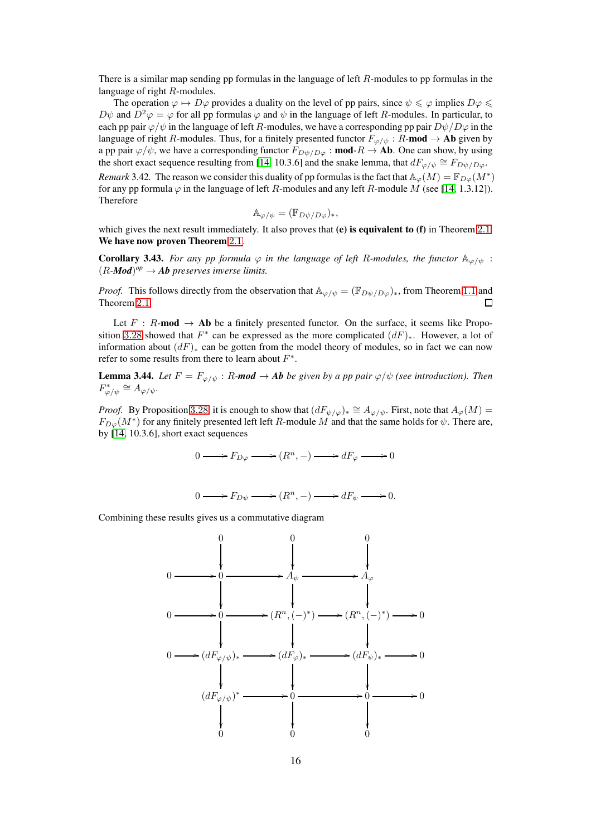There is a similar map sending pp formulas in the language of left R-modules to pp formulas in the language of right R-modules.

The operation  $\varphi \mapsto D\varphi$  provides a duality on the level of pp pairs, since  $\psi \leq \varphi$  implies  $D\varphi \leq \varphi$  $D\psi$  and  $D^2\varphi = \varphi$  for all pp formulas  $\varphi$  and  $\psi$  in the language of left R-modules. In particular, to each pp pair  $\varphi/\psi$  in the language of left R-modules, we have a corresponding pp pair  $D\psi/D\varphi$  in the language of right R-modules. Thus, for a finitely presented functor  $F_{\varphi/\psi} : R\text{-mod} \to \text{Ab}$  given by a pp pair  $\varphi/\psi$ , we have a corresponding functor  $F_{D\psi/D\varphi}$  : **mod-** $R \to$  **Ab**. One can show, by using the short exact sequence resulting from [\[14,](#page-20-0) 10.3.6] and the snake lemma, that  $dF_{\varphi/\psi} \cong F_{D\psi/D\varphi}$ .

<span id="page-16-0"></span>*Remark* 3.42. The reason we consider this duality of pp formulas is the fact that  $\mathbb{A}_{\varphi}(M) = \mathbb{F}_{D\varphi}(M^*)$ for any pp formula  $\varphi$  in the language of left R-modules and any left R-module M (see [\[14,](#page-20-0) 1.3.12]). Therefore

$$
\mathbb{A}_{\varphi/\psi} = (\mathbb{F}_{D\psi/D\varphi})_*,
$$

which gives the next result immediately. It also proves that  $(e)$  is equivalent to  $(f)$  in Theorem [2](#page-5-4).1. We have now proven Theorem [2](#page-5-4).1.

**Corollary 3.43.** *For any pp formula*  $\varphi$  *in the language of left R-modules, the functor*  $\mathbb{A}_{\varphi/\psi}$  :  $(R$ *-Mod)<sup>op</sup>*  $\rightarrow$  *Ab* preserves inverse limits.

*Proof.* This follows directly from the observation that  $\mathbb{A}_{\varphi/\psi} = (\mathbb{F}_{D\psi/D\varphi})_*$ , from Theorem [1](#page-2-1).1 and Theorem [2](#page-5-4).1.

Let F : R-mod  $\rightarrow$  Ab be a finitely presented functor. On the surface, it seems like Propo-sition 3.[28](#page-12-3) showed that  $F^*$  can be expressed as the more complicated  $(dF)_*.$  However, a lot of information about  $(dF)_*$  can be gotten from the model theory of modules, so in fact we can now refer to some results from there to learn about  $F^*$ .

<span id="page-16-1"></span>**Lemma 3.44.** *Let*  $F = F_{\varphi/\psi}$ : R-*mod*  $\rightarrow$  *Ab be given by a pp pair*  $\varphi/\psi$  *(see introduction). Then*  $F_{\varphi/\psi}^* \cong A_{\varphi/\psi}.$ 

*Proof.* By Proposition 3.[28](#page-12-3), it is enough to show that  $(dF_{\psi/\varphi})_* \cong A_{\varphi/\psi}$ . First, note that  $A_{\varphi}(M) =$  $F_{D\varphi}(M^*)$  for any finitely presented left left R-module M and that the same holds for  $\psi$ . There are, by [\[14,](#page-20-0) 10.3.6], short exact sequences

$$
0 \longrightarrow F_{D\varphi} \longrightarrow (R^n, -) \longrightarrow dF_{\varphi} \longrightarrow 0
$$

$$
0 \longrightarrow F_{D\psi} \longrightarrow (R^n, -) \longrightarrow dF_{\psi} \longrightarrow 0.
$$

Combining these results gives us a commutative diagram

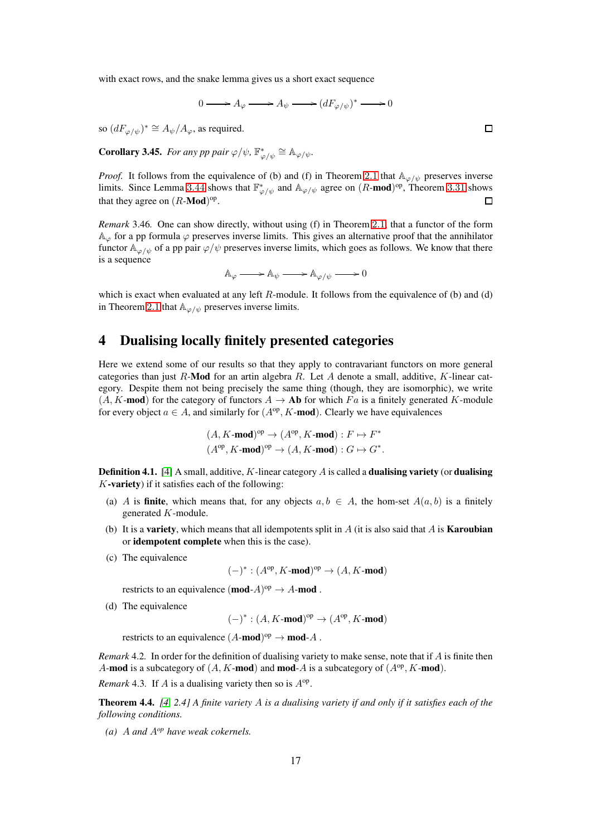with exact rows, and the snake lemma gives us a short exact sequence

 $0 \longrightarrow A_{\varphi} \longrightarrow A_{\psi} \longrightarrow (dF_{\varphi/\psi})^* \longrightarrow 0$ 

so  $(dF_{\varphi/\psi})^* \cong A_{\psi}/A_{\varphi}$ , as required.

<span id="page-17-1"></span>**Corollary 3.45.** *For any pp pair*  $\varphi/\psi$ ,  $\mathbb{F}_{\varphi/\psi}^* \cong \mathbb{A}_{\varphi/\psi}$ .

*Proof.* It follows from the equivalence of (b) and (f) in Theorem [2](#page-5-4).1 that  $\mathbb{A}_{\varphi/\psi}$  preserves inverse limits. Since Lemma 3.[44](#page-16-1) shows that  $\mathbb{F}_{\varphi/\psi}^*$  and  $\mathbb{A}_{\varphi/\psi}$  agree on  $(R\text{-mod})^{\text{op}}$ , Theorem 3.[31](#page-13-1) shows that they agree on  $(R\text{-}\mathbf{Mod})^{\text{op}}$ .  $\Box$ 

*Remark* 3.46*.* One can show directly, without using (f) in Theorem [2](#page-5-4).1, that a functor of the form  $\mathbb{A}_{\varphi}$  for a pp formula  $\varphi$  preserves inverse limits. This gives an alternative proof that the annihilator functor  $\mathbb{A}_{\varphi/\psi}$  of a pp pair  $\varphi/\psi$  preserves inverse limits, which goes as follows. We know that there is a sequence

 $\mathbb{A}_{\varphi} \longrightarrow \mathbb{A}_{\psi} \longrightarrow \mathbb{A}_{\varphi/\psi} \longrightarrow 0$ 

which is exact when evaluated at any left R-module. It follows from the equivalence of (b) and (d) in Theorem [2](#page-5-4).1 that  $\mathbb{A}_{\varphi/\psi}$  preserves inverse limits.

# <span id="page-17-0"></span>4 Dualising locally finitely presented categories

Here we extend some of our results so that they apply to contravariant functors on more general categories than just R-Mod for an artin algebra R. Let A denote a small, additive, K-linear category. Despite them not being precisely the same thing (though, they are isomorphic), we write  $(A, K\text{-mod})$  for the category of functors  $A \to Ab$  for which  $Fa$  is a finitely generated K-module for every object  $a \in A$ , and similarly for  $(A^{op}, K\text{-mod})$ . Clearly we have equivalences

$$
(A, K\text{-mod})^{\text{op}} \to (A^{\text{op}}, K\text{-mod}) : F \mapsto F^*
$$
  
 $(A^{\text{op}}, K\text{-mod})^{\text{op}} \to (A, K\text{-mod}) : G \mapsto G^*.$ 

**Definition 4.1.** [\[4\]](#page-20-13) A small, additive, K-linear category A is called a **dualising variety** (or **dualising**  $K$ -variety) if it satisfies each of the following:

- (a) A is **finite**, which means that, for any objects  $a, b \in A$ , the hom-set  $A(a, b)$  is a finitely generated  $K$ -module.
- (b) It is a **variety**, which means that all idempotents split in A (it is also said that A is **Karoubian** or idempotent complete when this is the case).
- (c) The equivalence

$$
(-)^{*}:(A^{\mathrm{op}}, K\text{-}\mathbf{mod})^{\mathrm{op}}\to (A, K\text{-}\mathbf{mod})
$$

restricts to an equivalence  $(\text{mod-}A)^{op} \to A$ -mod.

(d) The equivalence

$$
(-)^{*}:(A, K\text{-mod})^{\text{op}}\to (A^{\text{op}}, K\text{-mod})
$$

restricts to an equivalence  $(A\text{-mod})^{\text{op}} \to \text{mod-}A$ .

*Remark* 4.2*.* In order for the definition of dualising variety to make sense, note that if A is finite then A-mod is a subcategory of  $(A, K\text{-mod})$  and mod-A is a subcategory of  $(A^{\text{op}}, K\text{-mod})$ .

*Remark* 4.3. If  $\vec{A}$  is a dualising variety then so is  $A^{\text{op}}$ .

<span id="page-17-2"></span>Theorem 4.4. *[\[4,](#page-20-13) 2.4] A finite variety* A *is a dualising variety if and only if it satisfies each of the following conditions.*

*(a)* A *and* A*op have weak cokernels.*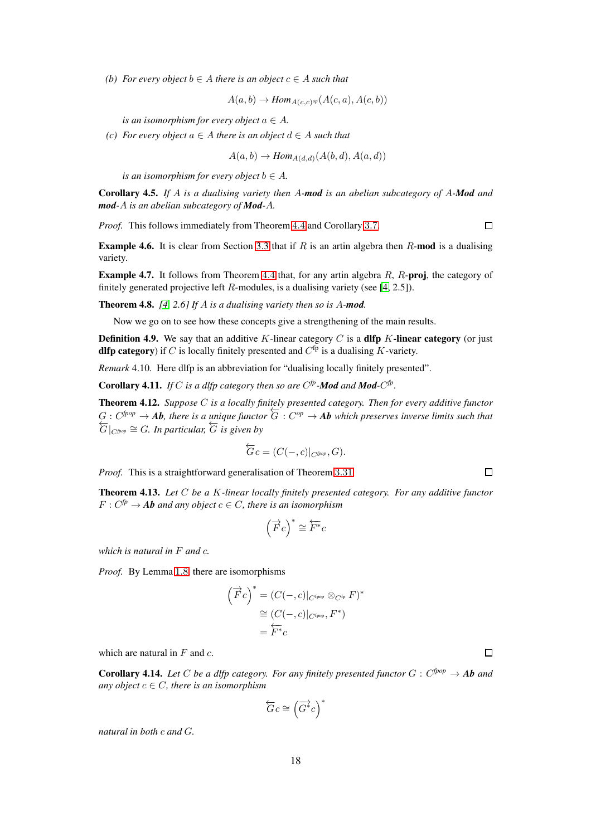*(b)* For every object  $b \in A$  there is an object  $c \in A$  such that

$$
A(a,b) \to Hom_{A(c,c)^{op}}(A(c,a), A(c,b))
$$

*is an isomorphism for every object*  $a \in A$ *.* 

*(c)* For every object  $a \in A$  there is an object  $d \in A$  such that

$$
A(a,b) \to Hom_{A(d,d)}(A(b,d), A(a,d))
$$

*is an isomorphism for every object*  $b \in A$ *.* 

Corollary 4.5. *If* A *is a dualising variety then* A*-mod is an abelian subcategory of* A*-Mod and mod-*A *is an abelian subcategory of Mod-*A*.*

*Proof.* This follows immediately from Theorem [4](#page-17-2).4 and Corollary [3](#page-9-4).7.

 $\Box$ 

**Example 4.6.** It is clear from Section [3.3](#page-11-1) that if R is an artin algebra then R-mod is a dualising variety.

<span id="page-18-1"></span>**Example [4](#page-17-2).7.** It follows from Theorem 4.4 that, for any artin algebra  $R$ ,  $R$ -**proj**, the category of finitely generated projective left  $R$ -modules, is a dualising variety (see [\[4,](#page-20-13) 2.5]).

Theorem 4.8. *[\[4,](#page-20-13) 2.6] If* A *is a dualising variety then so is* A*-mod.*

Now we go on to see how these concepts give a strengthening of the main results.

**Definition 4.9.** We say that an additive K-linear category  $C$  is a **dlfp** K-linear category (or just **dlfp category**) if C is locally finitely presented and  $C<sup>f</sup>P$  is a dualising K-variety.

*Remark* 4.10*.* Here dlfp is an abbreviation for "dualising locally finitely presented".

**Corollary 4.11.** *If* C *is a dlfp category then so are*  $C^{fp}$ *-Mod and Mod-* $C^{fp}$ *.* 

Theorem 4.12. *Suppose* C *is a locally finitely presented category. Then for every additive functor*  $G: C^{fpop} \to Ab$ , there is a unique functor  $\overline{G}: C^{op} \to Ab$  which preserves inverse limits such that  $G|_{C^{fpop}} \cong G$ . In particular,  $\overline{G}$  is given by  $\overleftarrow{G}|_{C^{fpop}} \cong G$ . In particular,  $\overleftarrow{G}$  is given by

$$
\overleftarrow{G}c = (C(-,c)|_{C^{fpop}}, G).
$$

*Proof.* This is a straightforward generalisation of Theorem 3.[31](#page-13-1).

<span id="page-18-0"></span>Theorem 4.13. *Let* C *be a* K*-linear locally finitely presented category. For any additive functor*  $F: C^{fp} \to Ab$  and any object  $c \in C$ , there is an isomorphism

$$
\left(\overrightarrow{F}c\right)^{\ast}\cong\overleftarrow{F^{\ast}}c
$$

*which is natural in* F *and* c*.*

*Proof.* By Lemma [1](#page-4-1).8, there are isomorphisms

$$
\left(\overrightarrow{F}c\right)^* = \left(C(-,c)|_{C^{\text{fpop}}} \otimes_{C^{\text{fp}}} F\right)^*
$$

$$
\cong \left(C(-,c)|_{C^{\text{fpop}}}, F^*\right)
$$

$$
= \overleftarrow{F^*}c
$$

which are natural in  $F$  and  $c$ .

**Corollary 4.14.** Let C be a dlfp category. For any finitely presented functor  $G : C^{fpop} \to Ab$  and *any object*  $c \in C$ *, there is an isomorphism* 

$$
\overleftarrow{G}c\cong\left(\overrightarrow{G}^{\ast}c\right)^{\ast}
$$

*natural in both* c *and* G*.*

 $\Box$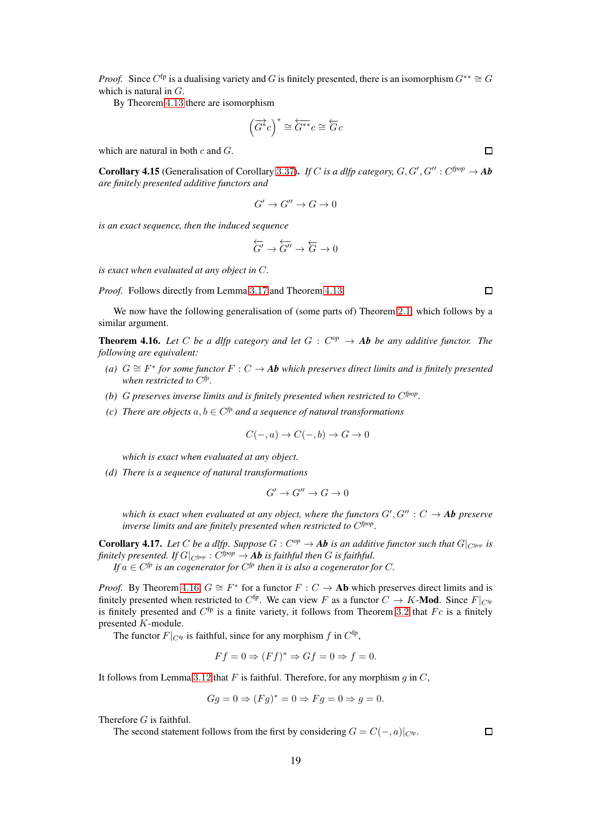*Proof.* Since  $C^{fp}$  is a dualising variety and G is finitely presented, there is an isomorphism  $G^{**} \cong G$ which is natural in G.

By Theorem 4.[13](#page-18-0) there are isomorphism

$$
\left(\overrightarrow{G}^*c\right)^* \cong \overleftarrow{G^{**}}c \cong \overleftarrow{G}c
$$

which are natural in both  $c$  and  $G$ .

**Corollary 4.15** (Generalisation of Corollary 3.[37](#page-14-1)). *If C is a dlfp category,*  $G, G', G'' : C^{fpop} \rightarrow Ab$ *are finitely presented additive functors and*

$$
G'\to G''\to G\to 0
$$

*is an exact sequence, then the induced sequence*

$$
\overleftarrow{G}^\prime \rightarrow \overleftarrow{G}^{\prime\prime} \rightarrow \overleftarrow{G} \rightarrow 0
$$

*is exact when evaluated at any object in* C*.*

*Proof.* Follows directly from Lemma 3.[17](#page-10-3) and Theorem 4.[13](#page-18-0).

 $\Box$ 

We now have the following generalisation of (some parts of) Theorem [2](#page-5-4).1, which follows by a similar argument.

<span id="page-19-0"></span>**Theorem 4.16.** Let C be a dlfp category and let  $G : C^{op} \to Ab$  be any additive functor. The *following are equivalent:*

- *(a)*  $G \cong F^*$  for some functor  $F : C \to A$ **b** which preserves direct limits and is finitely presented *when restricted to* C *fp .*
- *(b)* G *preserves inverse limits and is finitely presented when restricted to* C *fpop .*
- *(c) There are objects* a, b ∈ C *fp and a sequence of natural transformations*

$$
C(-,a) \to C(-,b) \to G \to 0
$$

*which is exact when evaluated at any object.*

*(d) There is a sequence of natural transformations*

$$
G'\to G''\to G\to 0
$$

*which is exact when evaluated at any object, where the functors*  $G', G'' : C \to \overline{Ab}$  preserve *inverse limits and are finitely presented when restricted to* C *fpop .*

**Corollary 4.17.** Let C be a dlfp. Suppose  $G: C^{op} \to \mathbf{Ab}$  is an additive functor such that  $G|_{C^{fpop}}$  is finitely presented. If  $G|_{C^{fpop}}: C^{fpop} \to \boldsymbol{Ab}$  is faithful then  $G$  is faithful.

If  $a \in C^{fp}$  *is an cogenerator for*  $C^{fp}$  *then it is also a cogenerator for C*.

*Proof.* By Theorem 4.[16](#page-19-0),  $G \cong F^*$  for a functor  $F : C \to \mathbf{Ab}$  which preserves direct limits and is finitely presented when restricted to  $C^{fp}$ . We can view F as a functor  $C \to K$ -Mod. Since  $F|_{C^{fp}}$ is finitely presented and  $C<sup>f</sup>P$  is a finite variety, it follows from Theorem [3](#page-8-2).2 that  $Fc$  is a finitely presented K-module.

The functor  $F|_{C^{fp}}$  is faithful, since for any morphism f in  $C^{fp}$ ,

$$
Ff = 0 \Rightarrow (Ff)^* \Rightarrow Gf = 0 \Rightarrow f = 0.
$$

It follows from Lemma 3.[12](#page-9-3) that  $F$  is faithful. Therefore, for any morphism  $g$  in  $C$ ,

$$
Gg = 0 \Rightarrow (Fg)^* = 0 \Rightarrow Fg = 0 \Rightarrow g = 0.
$$

Therefore  $G$  is faithful.

The second statement follows from the first by considering  $G = C(-,a)|_{C^{fp}}$ .

 $\Box$